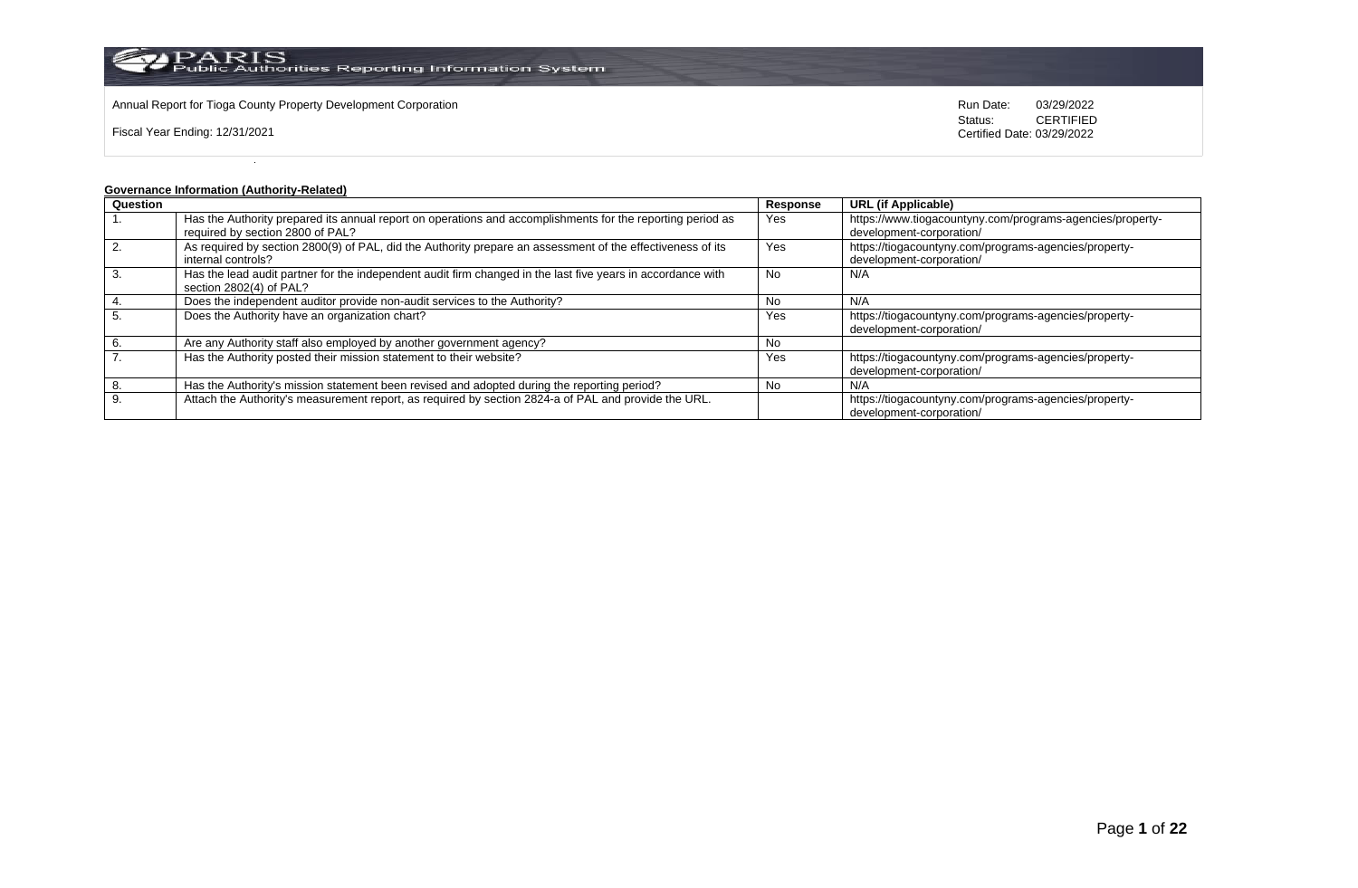

Annual Report for Tioga County Property Development Corporation **Run Date:** 03/29/2022

Fiscal Year Ending: 12/31/2021

Status: **CERTIFIED** Certified Date: 03/29/2022

## **Governance Information (Authority-Related)**

| Question |                                                                                                                                                | Response  | <b>URL</b> (if Applicable)                                                            |
|----------|------------------------------------------------------------------------------------------------------------------------------------------------|-----------|---------------------------------------------------------------------------------------|
|          | Has the Authority prepared its annual report on operations and accomplishments for the reporting period as<br>required by section 2800 of PAL? | Yes       | https://www.tiogacountyny.com/programs-agencies/property-<br>development-corporation/ |
|          | As required by section 2800(9) of PAL, did the Authority prepare an assessment of the effectiveness of its<br>internal controls?               | Yes       | https://tiogacountyny.com/programs-agencies/property-<br>development-corporation/     |
| 3.       | Has the lead audit partner for the independent audit firm changed in the last five years in accordance with<br>section 2802(4) of PAL?         | <b>No</b> | N/A                                                                                   |
|          | Does the independent auditor provide non-audit services to the Authority?                                                                      | No        | N/A                                                                                   |
| 5.       | Does the Authority have an organization chart?                                                                                                 | Yes       | https://tiogacountyny.com/programs-agencies/property-<br>development-corporation/     |
|          | Are any Authority staff also employed by another government agency?                                                                            | No        |                                                                                       |
|          | Has the Authority posted their mission statement to their website?                                                                             | Yes       | https://tiogacountyny.com/programs-agencies/property-<br>development-corporation/     |
|          | Has the Authority's mission statement been revised and adopted during the reporting period?                                                    | No.       | N/A                                                                                   |
|          | Attach the Authority's measurement report, as required by section 2824-a of PAL and provide the URL.                                           |           | https://tiogacountyny.com/programs-agencies/property-<br>development-corporation/     |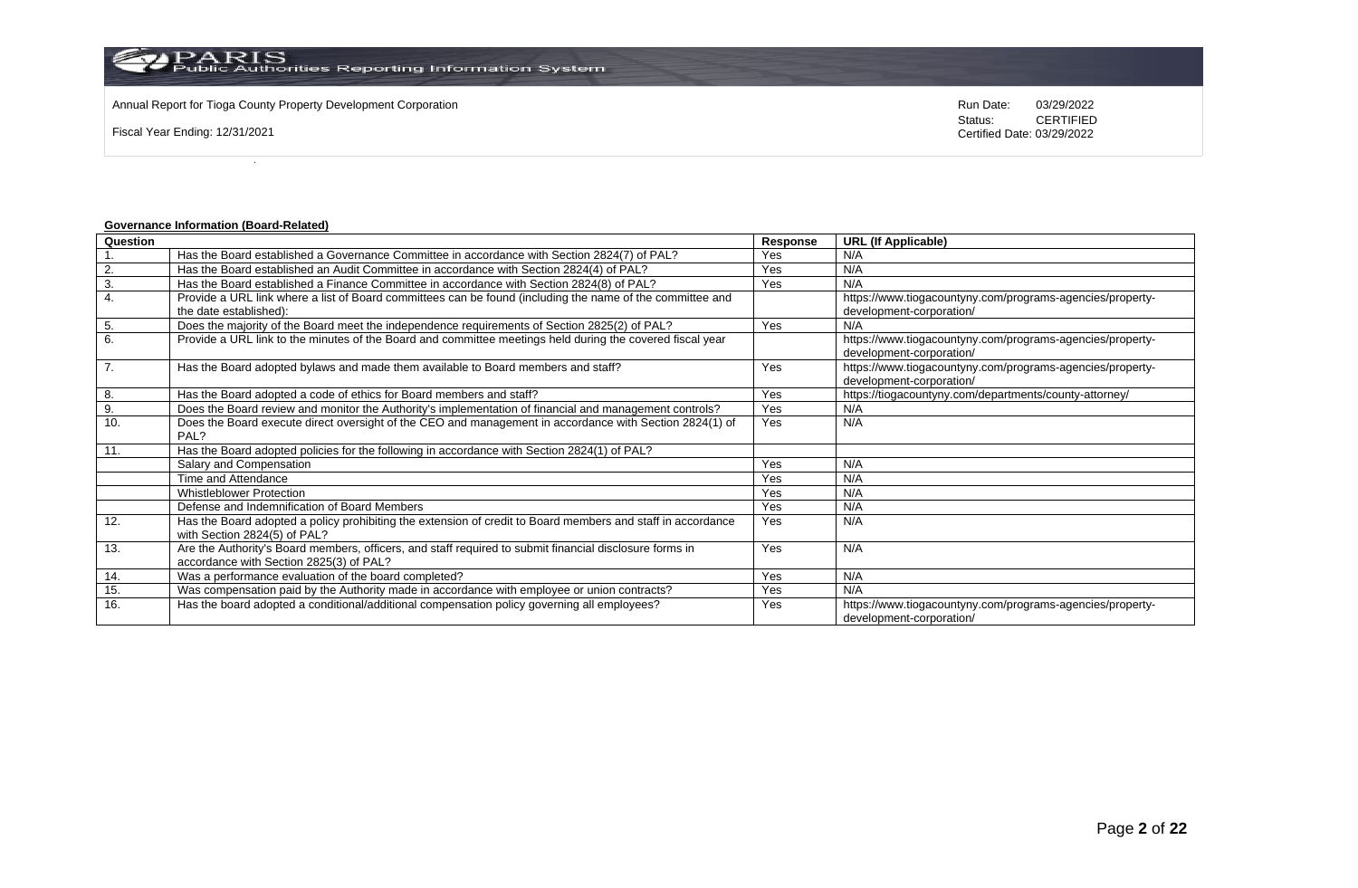Annual Report for Tioga County Property Development Corporation **Run Date:** 03/29/2022 **Run Date:** 03/29/2022

Fiscal Year Ending: 12/31/2021

Status: **CERTIFIED** Certified Date: 03/29/2022

## **Governance Information (Board-Related)**

| Question          |                                                                                                                                                    | Response | <b>URL (If Applicable)</b>                                                            |
|-------------------|----------------------------------------------------------------------------------------------------------------------------------------------------|----------|---------------------------------------------------------------------------------------|
|                   | Has the Board established a Governance Committee in accordance with Section 2824(7) of PAL?                                                        | Yes      | N/A                                                                                   |
| $\overline{2}$ .  | Has the Board established an Audit Committee in accordance with Section 2824(4) of PAL?                                                            | Yes      | N/A                                                                                   |
| 3.                | Has the Board established a Finance Committee in accordance with Section 2824(8) of PAL?                                                           | Yes      | N/A                                                                                   |
| 4.                | Provide a URL link where a list of Board committees can be found (including the name of the committee and<br>the date established):                |          | https://www.tiogacountyny.com/programs-agencies/property-<br>development-corporation/ |
| 5.                | Does the majority of the Board meet the independence requirements of Section 2825(2) of PAL?                                                       | Yes      | N/A                                                                                   |
| 6.                | Provide a URL link to the minutes of the Board and committee meetings held during the covered fiscal year                                          |          | https://www.tiogacountyny.com/programs-agencies/property-<br>development-corporation/ |
| 7.                | Has the Board adopted bylaws and made them available to Board members and staff?                                                                   | Yes      | https://www.tiogacountyny.com/programs-agencies/property-<br>development-corporation/ |
| 8.                | Has the Board adopted a code of ethics for Board members and staff?                                                                                | Yes      | https://tiogacountyny.com/departments/county-attorney/                                |
| 9.                | Does the Board review and monitor the Authority's implementation of financial and management controls?                                             | Yes      | N/A                                                                                   |
| 10.               | Does the Board execute direct oversight of the CEO and management in accordance with Section 2824(1) of<br>PAL?                                    | Yes      | N/A                                                                                   |
| $\overline{11}$ . | Has the Board adopted policies for the following in accordance with Section 2824(1) of PAL?                                                        |          |                                                                                       |
|                   | Salary and Compensation                                                                                                                            | Yes      | N/A                                                                                   |
|                   | Time and Attendance                                                                                                                                | Yes      | N/A                                                                                   |
|                   | <b>Whistleblower Protection</b>                                                                                                                    | Yes      | N/A                                                                                   |
|                   | Defense and Indemnification of Board Members                                                                                                       | Yes      | N/A                                                                                   |
| 12.               | Has the Board adopted a policy prohibiting the extension of credit to Board members and staff in accordance<br>with Section 2824(5) of PAL?        | Yes      | N/A                                                                                   |
| 13.               | Are the Authority's Board members, officers, and staff required to submit financial disclosure forms in<br>accordance with Section 2825(3) of PAL? | Yes      | N/A                                                                                   |
| 14.               | Was a performance evaluation of the board completed?                                                                                               | Yes      | N/A                                                                                   |
| 15.               | Was compensation paid by the Authority made in accordance with employee or union contracts?                                                        | Yes      | N/A                                                                                   |
| 16.               | Has the board adopted a conditional/additional compensation policy governing all employees?                                                        | Yes      | https://www.tiogacountyny.com/programs-agencies/property-<br>development-corporation/ |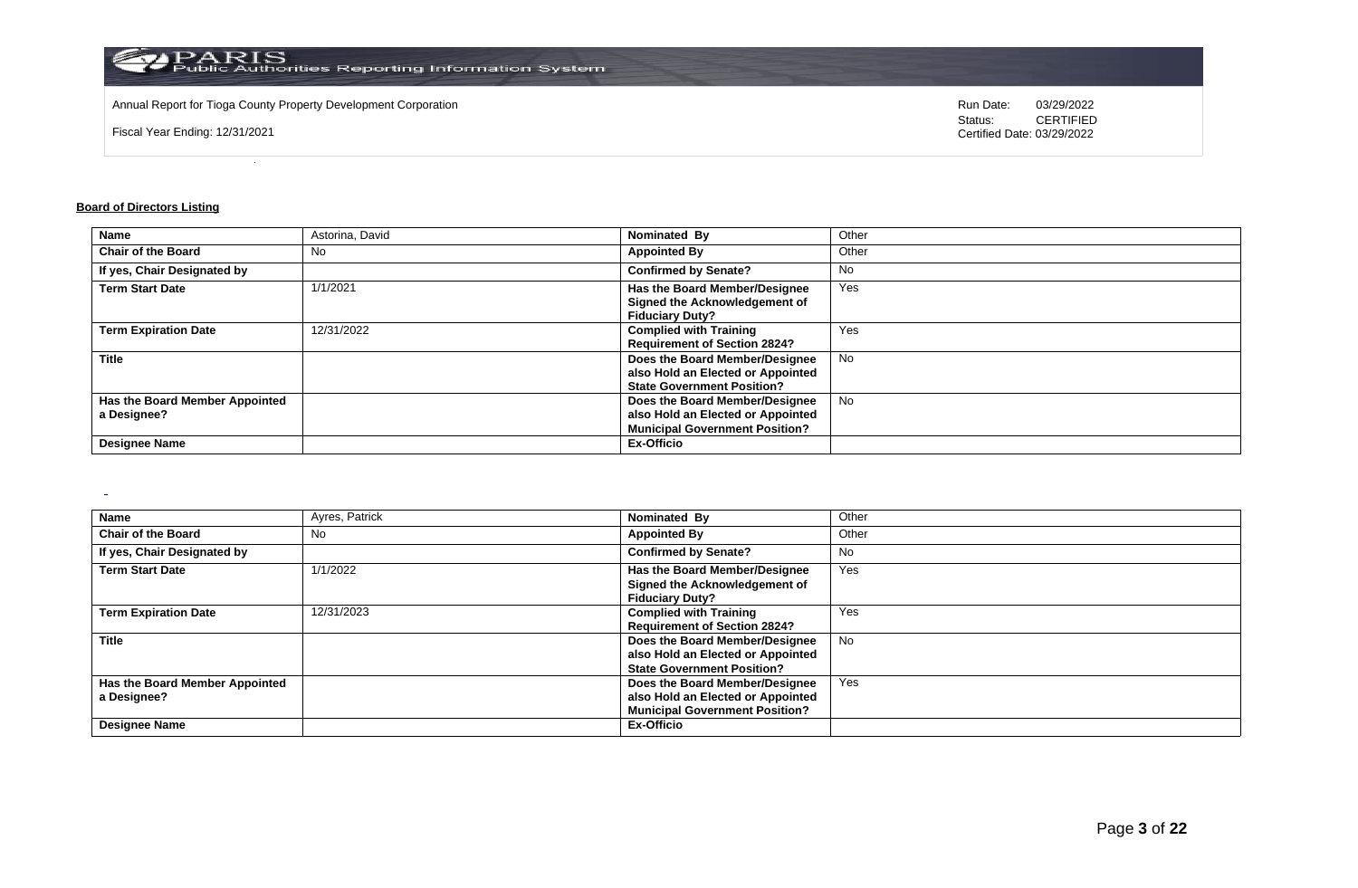

Annual Report for Tioga County Property Development Corporation **Run Date:** 03/29/2022

Fiscal Year Ending: 12/31/2021

Status: **CERTIFIED** Certified Date: 03/29/2022

#### **Board of Directors Listing**

 $\sim$ 

| Name                           | Astorina, David | Nominated By                          | Other     |
|--------------------------------|-----------------|---------------------------------------|-----------|
| <b>Chair of the Board</b>      | No.             | <b>Appointed By</b>                   | Other     |
| If yes, Chair Designated by    |                 | <b>Confirmed by Senate?</b>           | No        |
| <b>Term Start Date</b>         | 1/1/2021        | Has the Board Member/Designee         | Yes       |
|                                |                 | Signed the Acknowledgement of         |           |
|                                |                 | <b>Fiduciary Duty?</b>                |           |
| <b>Term Expiration Date</b>    | 12/31/2022      | <b>Complied with Training</b>         | Yes       |
|                                |                 | <b>Requirement of Section 2824?</b>   |           |
| <b>Title</b>                   |                 | Does the Board Member/Designee        | <b>No</b> |
|                                |                 | also Hold an Elected or Appointed     |           |
|                                |                 | <b>State Government Position?</b>     |           |
| Has the Board Member Appointed |                 | Does the Board Member/Designee        | <b>No</b> |
| a Designee?                    |                 | also Hold an Elected or Appointed     |           |
|                                |                 | <b>Municipal Government Position?</b> |           |
| <b>Designee Name</b>           |                 | <b>Ex-Officio</b>                     |           |

| Name                                          | Ayres, Patrick | Nominated By                                                                                                 | Other |
|-----------------------------------------------|----------------|--------------------------------------------------------------------------------------------------------------|-------|
| <b>Chair of the Board</b>                     | No             | <b>Appointed By</b>                                                                                          | Other |
| If yes, Chair Designated by                   |                | <b>Confirmed by Senate?</b>                                                                                  | No    |
| <b>Term Start Date</b>                        | 1/1/2022       | Has the Board Member/Designee<br>Signed the Acknowledgement of<br><b>Fiduciary Duty?</b>                     | Yes   |
| <b>Term Expiration Date</b>                   | 12/31/2023     | <b>Complied with Training</b><br><b>Requirement of Section 2824?</b>                                         | Yes   |
| <b>Title</b>                                  |                | Does the Board Member/Designee<br>also Hold an Elected or Appointed<br><b>State Government Position?</b>     | No    |
| Has the Board Member Appointed<br>a Designee? |                | Does the Board Member/Designee<br>also Hold an Elected or Appointed<br><b>Municipal Government Position?</b> | Yes   |
| <b>Designee Name</b>                          |                | Ex-Officio                                                                                                   |       |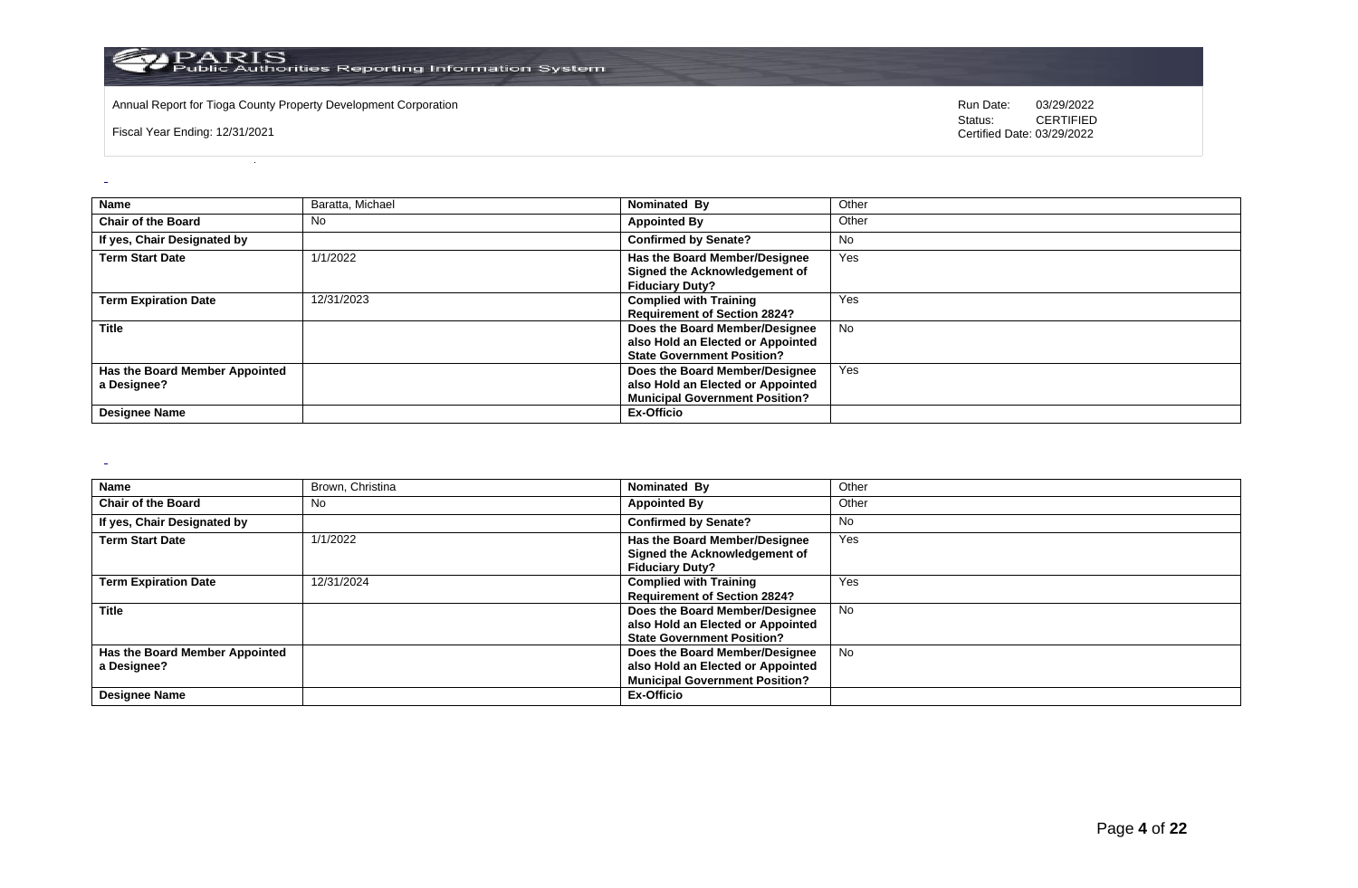

Annual Report for Tioga County Property Development Corporation Composition Run Date: 03/29/2022

Fiscal Year Ending: 12/31/2021

| <b>Name</b>                    | Baratta, Michael | Nominated By                          | Other |
|--------------------------------|------------------|---------------------------------------|-------|
| <b>Chair of the Board</b>      | <b>No</b>        | <b>Appointed By</b>                   | Other |
| If yes, Chair Designated by    |                  | <b>Confirmed by Senate?</b>           | No    |
| <b>Term Start Date</b>         | 1/1/2022         | Has the Board Member/Designee         | Yes   |
|                                |                  | Signed the Acknowledgement of         |       |
|                                |                  | <b>Fiduciary Duty?</b>                |       |
| <b>Term Expiration Date</b>    | 12/31/2023       | <b>Complied with Training</b>         | Yes   |
|                                |                  | <b>Requirement of Section 2824?</b>   |       |
| <b>Title</b>                   |                  | Does the Board Member/Designee        | No    |
|                                |                  | also Hold an Elected or Appointed     |       |
|                                |                  | <b>State Government Position?</b>     |       |
| Has the Board Member Appointed |                  | Does the Board Member/Designee        | Yes   |
| a Designee?                    |                  | also Hold an Elected or Appointed     |       |
|                                |                  | <b>Municipal Government Position?</b> |       |
| <b>Designee Name</b>           |                  | <b>Ex-Officio</b>                     |       |

 $\sim$ 

 $\omega$ 

| <b>Name</b>                    | Brown, Christina | Nominated By                          | Other     |
|--------------------------------|------------------|---------------------------------------|-----------|
| <b>Chair of the Board</b>      | No               | <b>Appointed By</b>                   | Other     |
| If yes, Chair Designated by    |                  | <b>Confirmed by Senate?</b>           | <b>No</b> |
| <b>Term Start Date</b>         | 1/1/2022         | Has the Board Member/Designee         | Yes       |
|                                |                  | Signed the Acknowledgement of         |           |
|                                |                  | <b>Fiduciary Duty?</b>                |           |
| <b>Term Expiration Date</b>    | 12/31/2024       | <b>Complied with Training</b>         | Yes       |
|                                |                  | <b>Requirement of Section 2824?</b>   |           |
| <b>Title</b>                   |                  | Does the Board Member/Designee        | No.       |
|                                |                  | also Hold an Elected or Appointed     |           |
|                                |                  | <b>State Government Position?</b>     |           |
| Has the Board Member Appointed |                  | Does the Board Member/Designee        | No        |
| a Designee?                    |                  | also Hold an Elected or Appointed     |           |
|                                |                  | <b>Municipal Government Position?</b> |           |
| <b>Designee Name</b>           |                  | Ex-Officio                            |           |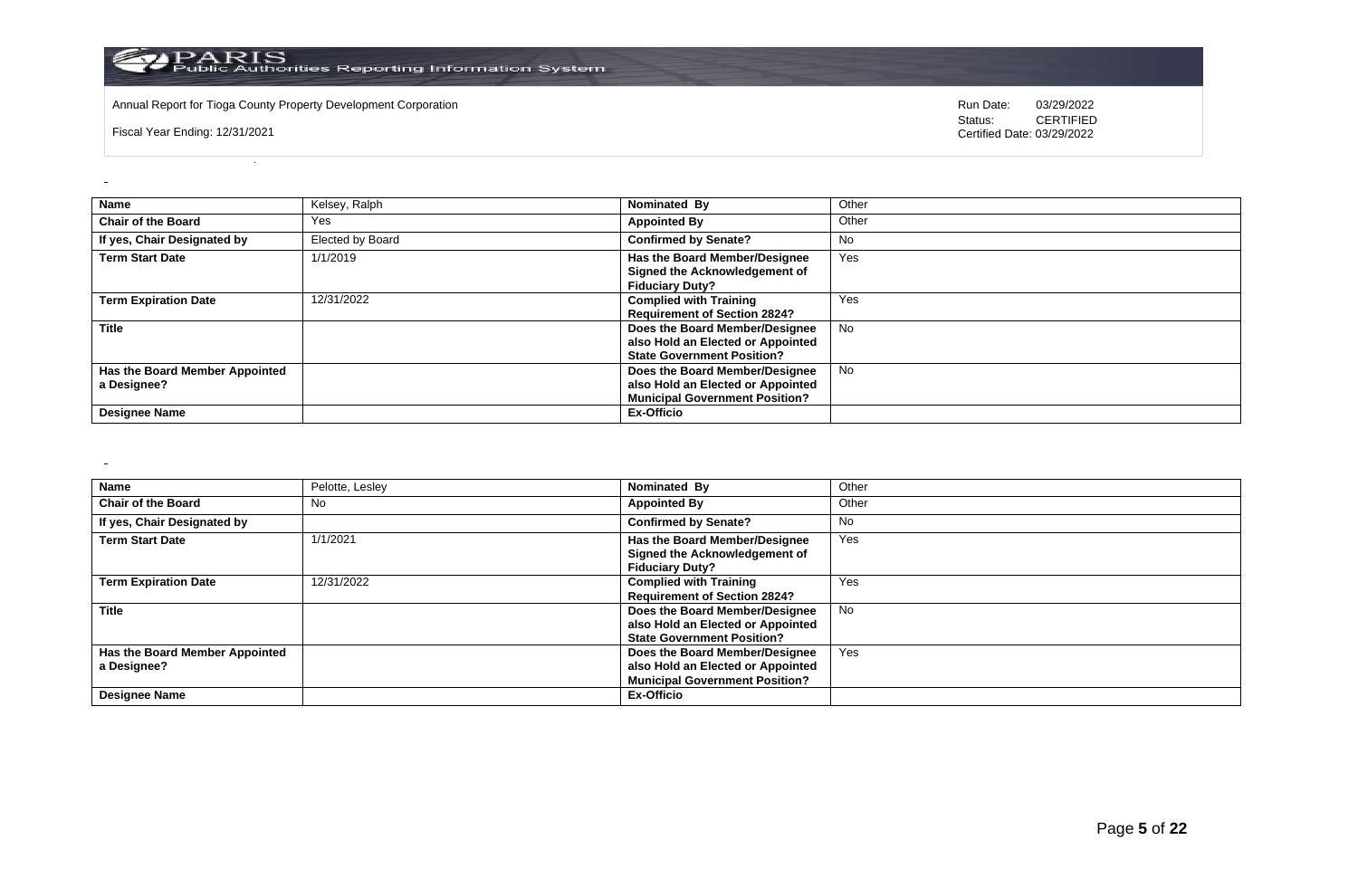Annual Report for Tioga County Property Development Corporation **Run Date:** 03/29/2022

Fiscal Year Ending: 12/31/2021

Status: **CERTIFIED** Certified Date: 03/29/2022

| <b>Name</b>                                   | Kelsey, Ralph    | Nominated By                                                                                                 | Other |
|-----------------------------------------------|------------------|--------------------------------------------------------------------------------------------------------------|-------|
| <b>Chair of the Board</b>                     | Yes              | <b>Appointed By</b>                                                                                          | Other |
| If yes, Chair Designated by                   | Elected by Board | <b>Confirmed by Senate?</b>                                                                                  | No    |
| <b>Term Start Date</b>                        | 1/1/2019         | Has the Board Member/Designee<br>Signed the Acknowledgement of<br><b>Fiduciary Duty?</b>                     | Yes   |
| <b>Term Expiration Date</b>                   | 12/31/2022       | <b>Complied with Training</b><br><b>Requirement of Section 2824?</b>                                         | Yes   |
| <b>Title</b>                                  |                  | Does the Board Member/Designee<br>also Hold an Elected or Appointed<br><b>State Government Position?</b>     | No    |
| Has the Board Member Appointed<br>a Designee? |                  | Does the Board Member/Designee<br>also Hold an Elected or Appointed<br><b>Municipal Government Position?</b> | No    |
| <b>Designee Name</b>                          |                  | Ex-Officio                                                                                                   |       |

 $\sim$ 

 $\omega$ 

| <b>Name</b>                    | Pelotte, Lesley | Nominated By                          | Other |
|--------------------------------|-----------------|---------------------------------------|-------|
| <b>Chair of the Board</b>      | No              | <b>Appointed By</b>                   | Other |
| If yes, Chair Designated by    |                 | <b>Confirmed by Senate?</b>           | No    |
| <b>Term Start Date</b>         | 1/1/2021        | Has the Board Member/Designee         | Yes   |
|                                |                 | Signed the Acknowledgement of         |       |
|                                |                 | <b>Fiduciary Duty?</b>                |       |
| <b>Term Expiration Date</b>    | 12/31/2022      | <b>Complied with Training</b>         | Yes   |
|                                |                 | <b>Requirement of Section 2824?</b>   |       |
| <b>Title</b>                   |                 | Does the Board Member/Designee        | No    |
|                                |                 | also Hold an Elected or Appointed     |       |
|                                |                 | <b>State Government Position?</b>     |       |
| Has the Board Member Appointed |                 | Does the Board Member/Designee        | Yes   |
| a Designee?                    |                 | also Hold an Elected or Appointed     |       |
|                                |                 | <b>Municipal Government Position?</b> |       |
| <b>Designee Name</b>           |                 | Ex-Officio                            |       |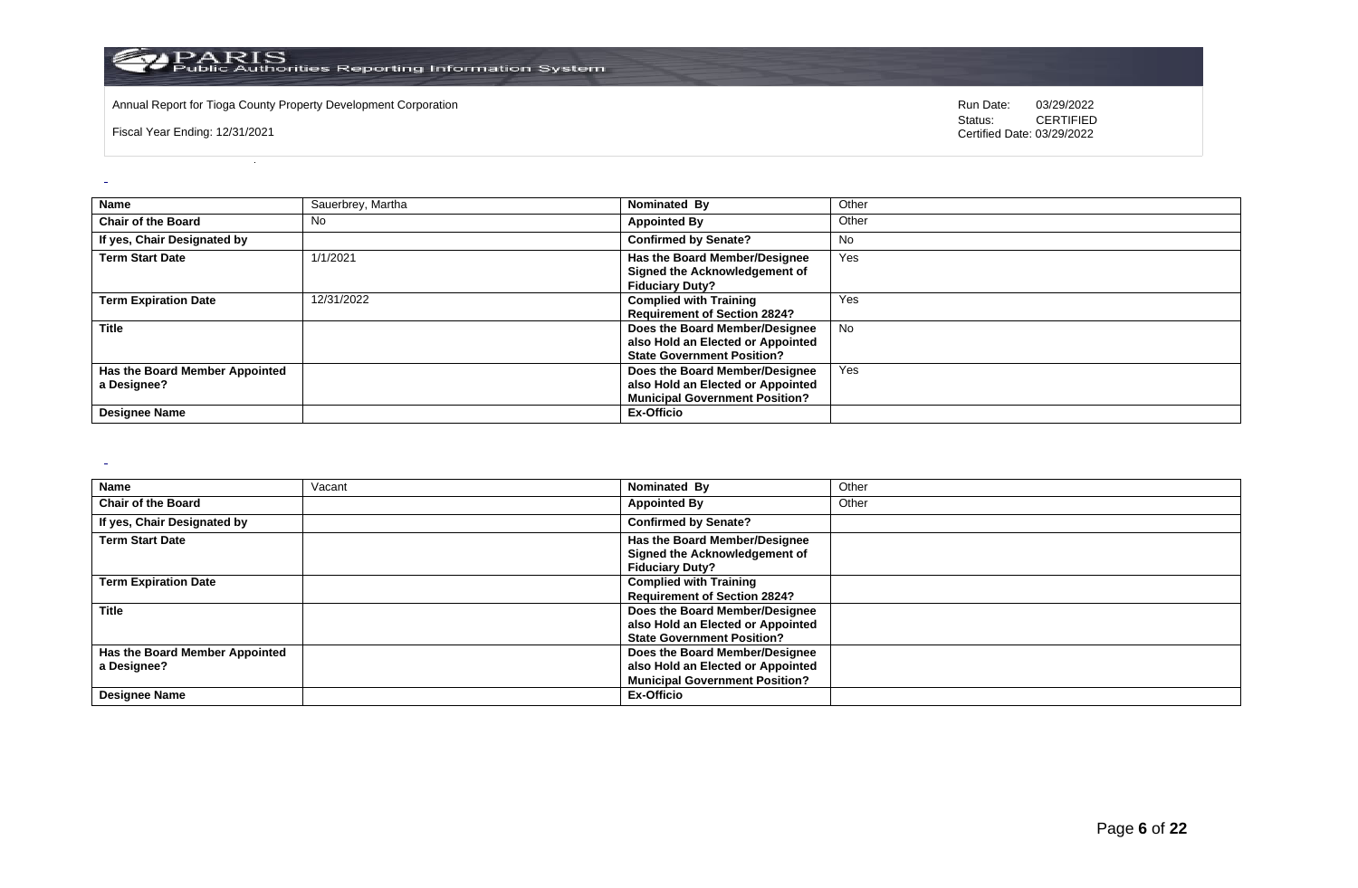

Annual Report for Tioga County Property Development Corporation Composition Run Date: 03/29/2022

Fiscal Year Ending: 12/31/2021

| <b>Name</b>                    | Sauerbrey, Martha | Nominated By                          | Other |
|--------------------------------|-------------------|---------------------------------------|-------|
| <b>Chair of the Board</b>      | <b>No</b>         | <b>Appointed By</b>                   | Other |
| If yes, Chair Designated by    |                   | <b>Confirmed by Senate?</b>           | No    |
| <b>Term Start Date</b>         | 1/1/2021          | Has the Board Member/Designee         | Yes   |
|                                |                   | Signed the Acknowledgement of         |       |
|                                |                   | <b>Fiduciary Duty?</b>                |       |
| <b>Term Expiration Date</b>    | 12/31/2022        | <b>Complied with Training</b>         | Yes   |
|                                |                   | <b>Requirement of Section 2824?</b>   |       |
| <b>Title</b>                   |                   | Does the Board Member/Designee        | No    |
|                                |                   | also Hold an Elected or Appointed     |       |
|                                |                   | <b>State Government Position?</b>     |       |
| Has the Board Member Appointed |                   | Does the Board Member/Designee        | Yes   |
| a Designee?                    |                   | also Hold an Elected or Appointed     |       |
|                                |                   | <b>Municipal Government Position?</b> |       |
| <b>Designee Name</b>           |                   | <b>Ex-Officio</b>                     |       |

 $\sim$ 

 $\omega$ 

| <b>Name</b>                                   | Vacant | Nominated By                                                                                                 | Other |
|-----------------------------------------------|--------|--------------------------------------------------------------------------------------------------------------|-------|
| <b>Chair of the Board</b>                     |        | <b>Appointed By</b>                                                                                          | Other |
| If yes, Chair Designated by                   |        | <b>Confirmed by Senate?</b>                                                                                  |       |
| <b>Term Start Date</b>                        |        | <b>Has the Board Member/Designee</b><br>Signed the Acknowledgement of<br><b>Fiduciary Duty?</b>              |       |
| <b>Term Expiration Date</b>                   |        | <b>Complied with Training</b><br><b>Requirement of Section 2824?</b>                                         |       |
| <b>Title</b>                                  |        | Does the Board Member/Designee<br>also Hold an Elected or Appointed<br><b>State Government Position?</b>     |       |
| Has the Board Member Appointed<br>a Designee? |        | Does the Board Member/Designee<br>also Hold an Elected or Appointed<br><b>Municipal Government Position?</b> |       |
| <b>Designee Name</b>                          |        | Ex-Officio                                                                                                   |       |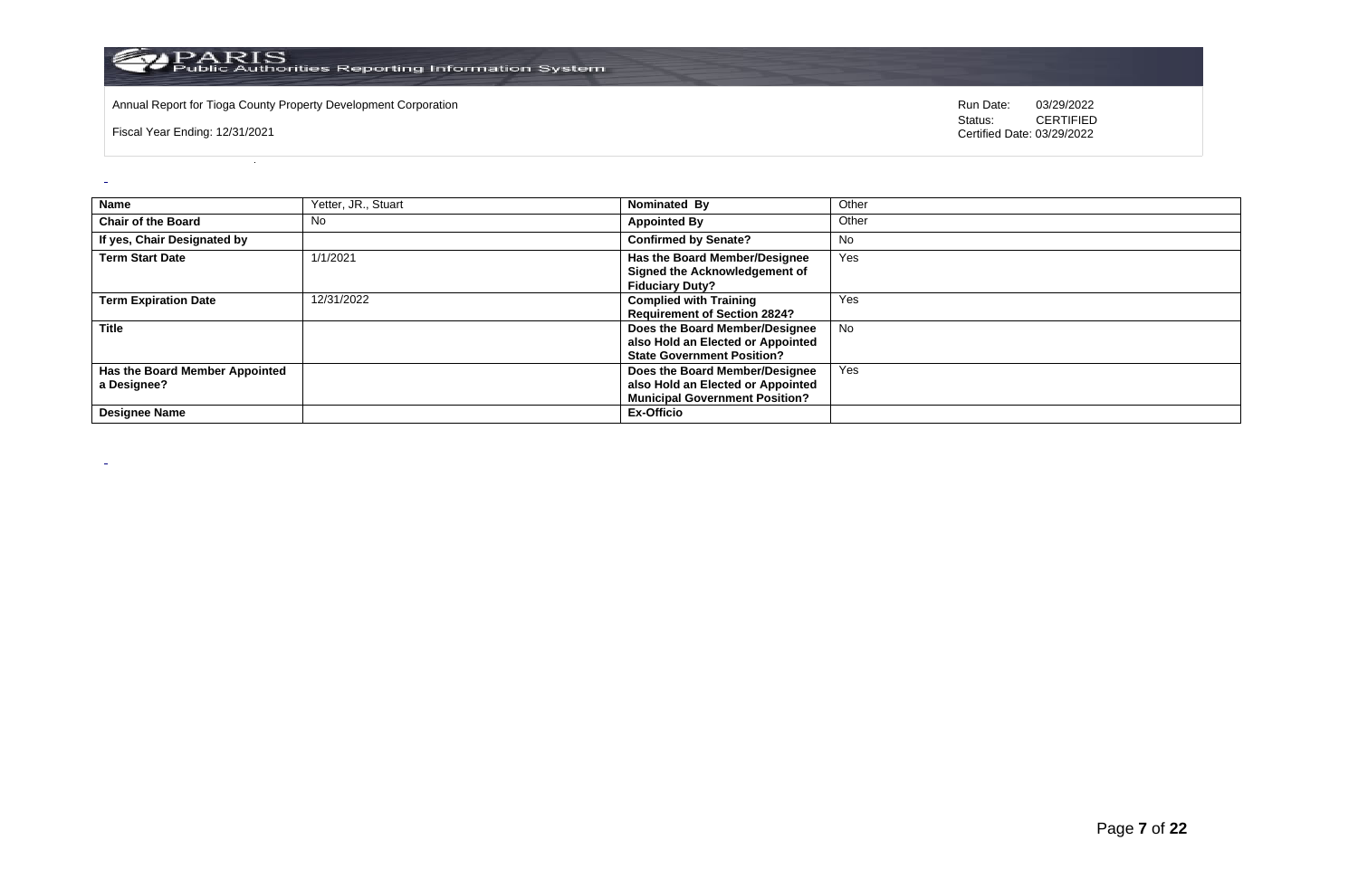

Annual Report for Tioga County Property Development Corporation **Run Date:** 03/29/2022

Fiscal Year Ending: 12/31/2021

 $\omega$ 

 $\sim$ 

Status: **CERTIFIED** Certified Date: 03/29/2022

| <b>Name</b>                                   | Yetter, JR., Stuart | Nominated By                                                                                                 | Other     |
|-----------------------------------------------|---------------------|--------------------------------------------------------------------------------------------------------------|-----------|
| <b>Chair of the Board</b>                     | No.                 | <b>Appointed By</b>                                                                                          | Other     |
| If yes, Chair Designated by                   |                     | <b>Confirmed by Senate?</b>                                                                                  | No        |
| <b>Term Start Date</b>                        | 1/1/2021            | Has the Board Member/Designee<br>Signed the Acknowledgement of<br><b>Fiduciary Duty?</b>                     | Yes       |
| <b>Term Expiration Date</b>                   | 12/31/2022          | <b>Complied with Training</b><br><b>Requirement of Section 2824?</b>                                         | Yes       |
| <b>Title</b>                                  |                     | Does the Board Member/Designee<br>also Hold an Elected or Appointed<br><b>State Government Position?</b>     | <b>No</b> |
| Has the Board Member Appointed<br>a Designee? |                     | Does the Board Member/Designee<br>also Hold an Elected or Appointed<br><b>Municipal Government Position?</b> | Yes       |
| <b>Designee Name</b>                          |                     | Ex-Officio                                                                                                   |           |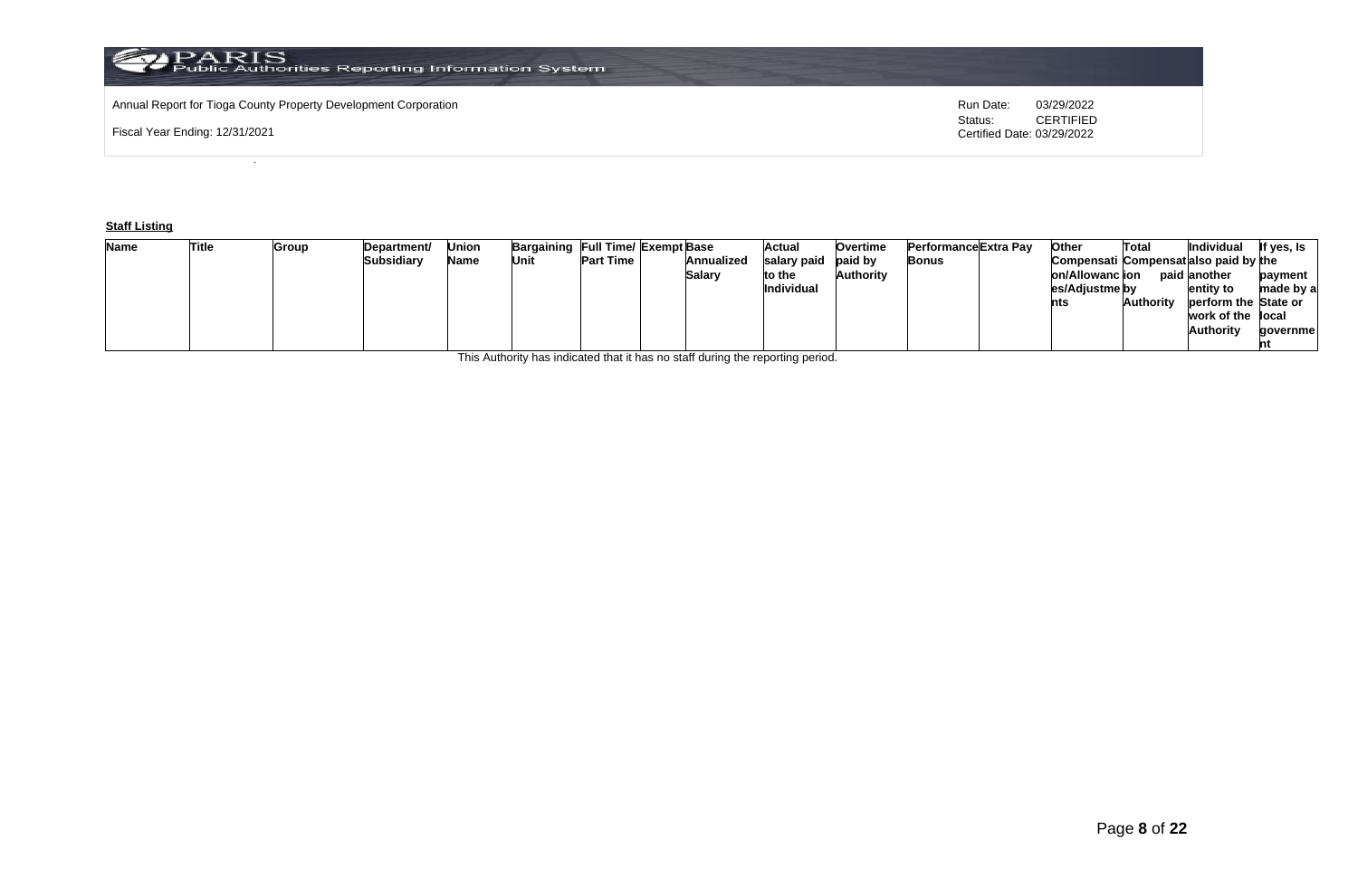| <b>EARIS</b><br>Public Authorities Reporting Information System |                                                           |
|-----------------------------------------------------------------|-----------------------------------------------------------|
| Annual Report for Tioga County Property Development Corporation | Run Date:<br>03/29/2022                                   |
| Fiscal Year Ending: 12/31/2021                                  | <b>CERTIFIED</b><br>Status:<br>Certified Date: 03/29/2022 |
|                                                                 |                                                           |

## **Staff Listing**

| <b>Name</b> | Title | Group | Department/       | <b>Union</b> | Bargaining Full Time/ Exempt Base |                  |               | Actual            | Overtime  | <b>PerformanceExtra Pay</b> | Other                                 | Total     | <b>Individual</b>    | lf yes, Is |
|-------------|-------|-------|-------------------|--------------|-----------------------------------|------------------|---------------|-------------------|-----------|-----------------------------|---------------------------------------|-----------|----------------------|------------|
|             |       |       | <b>Subsidiary</b> | Name         | Unit                              | <b>Part Time</b> | Annualized    | salary paid       | paid by   | <b>Bonus</b>                | Compensati Compensatialso paid by the |           |                      |            |
|             |       |       |                   |              |                                   |                  | <b>Salary</b> | to the            | Authority |                             | on/Allowanc ion                       |           | paid another         | payment    |
|             |       |       |                   |              |                                   |                  |               | <b>Individual</b> |           |                             | es/Adjustme by                        |           | entity to            | made by a  |
|             |       |       |                   |              |                                   |                  |               |                   |           |                             | nts                                   | Authority | perform the State or |            |
|             |       |       |                   |              |                                   |                  |               |                   |           |                             |                                       |           | work of the llocal   |            |
|             |       |       |                   |              |                                   |                  |               |                   |           |                             |                                       |           | <b>Authority</b>     | qovernmel  |
|             |       |       |                   |              |                                   |                  |               |                   |           |                             |                                       |           |                      |            |

This Authority has indicated that it has no staff during the reporting period.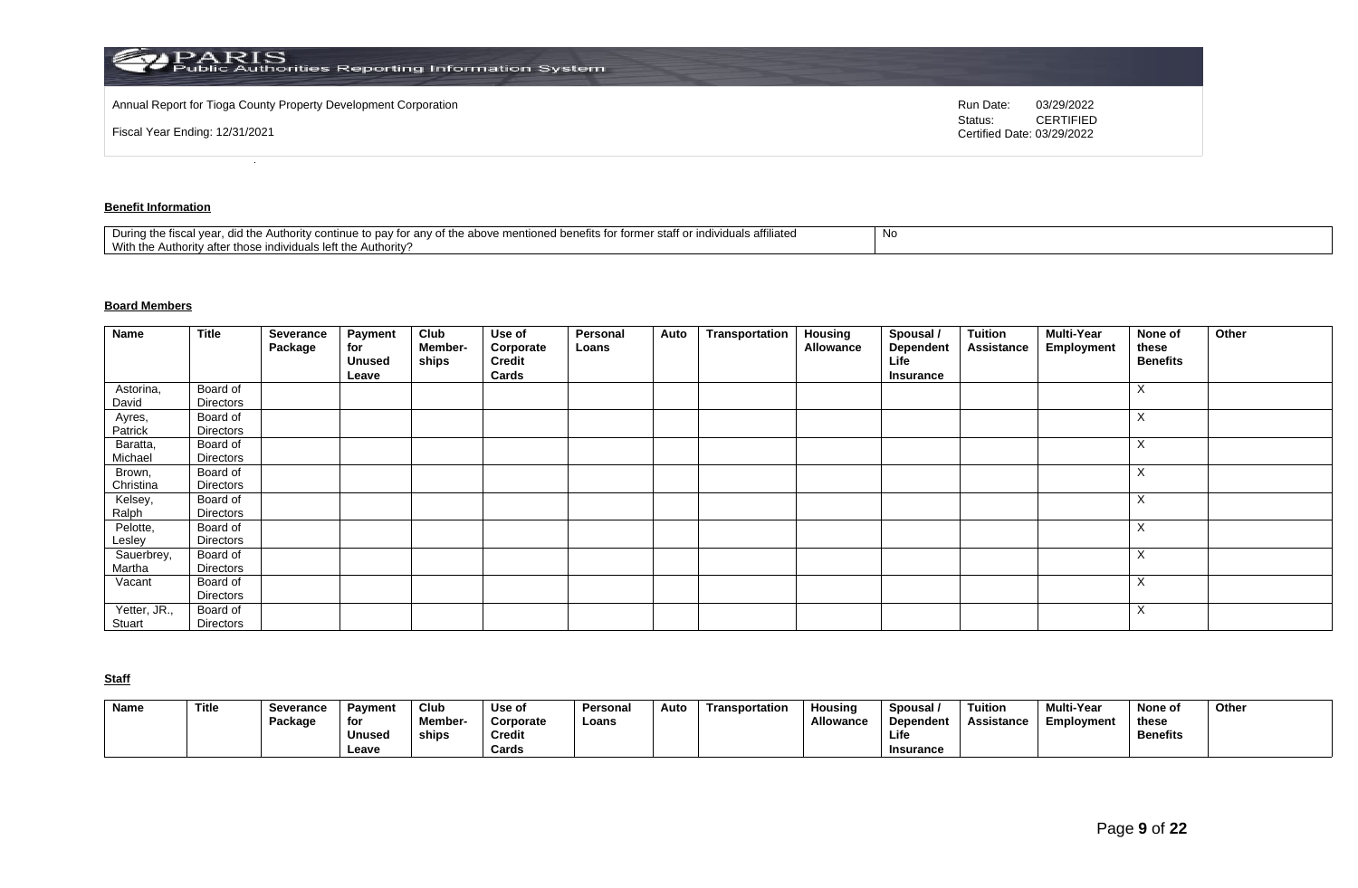| $\mathbf{P}\text{ARIS}$ Public Authorities Reporting Information System |                                       |            |
|-------------------------------------------------------------------------|---------------------------------------|------------|
| Annual Report for Tioga County Property Development Corporation         | Run Date:                             | 03/29/2022 |
| Fiscal Year Ending: 12/31/2021                                          | Status:<br>Certified Date: 03/29/2022 | CERTIFIED  |

## **Benefit Information**

| -----<br>∵individuals affiliated<br>d benefits for former staff or in<br>of the above mentioned l<br>During the fiscal vear<br>did fr<br>ane Authority continue to<br>, to pav for any of th<br>19 U<br>With the Authority after<br>r those individuals left thr<br>Authority': |  |
|---------------------------------------------------------------------------------------------------------------------------------------------------------------------------------------------------------------------------------------------------------------------------------|--|
|---------------------------------------------------------------------------------------------------------------------------------------------------------------------------------------------------------------------------------------------------------------------------------|--|

## **Board Members**

| Name                   | <b>Title</b>          | Severance<br>Package | Payment<br>for         | Club<br>Member- | Use of<br>Corporate    | Personal<br>Loans | Auto | Transportation | <b>Housing</b><br>Allowance | Spousal /<br>Dependent | Tuition<br>Assistance | <b>Multi-Year</b><br><b>Employment</b> | None of<br>these  | Other |
|------------------------|-----------------------|----------------------|------------------------|-----------------|------------------------|-------------------|------|----------------|-----------------------------|------------------------|-----------------------|----------------------------------------|-------------------|-------|
|                        |                       |                      | <b>Unused</b><br>Leave | ships           | <b>Credit</b><br>Cards |                   |      |                |                             | Life<br>Insurance      |                       |                                        | <b>Benefits</b>   |       |
| Astorina,<br>David     | Board of<br>Directors |                      |                        |                 |                        |                   |      |                |                             |                        |                       |                                        | X                 |       |
| Ayres,<br>Patrick      | Board of<br>Directors |                      |                        |                 |                        |                   |      |                |                             |                        |                       |                                        | X                 |       |
| Baratta,<br>Michael    | Board of<br>Directors |                      |                        |                 |                        |                   |      |                |                             |                        |                       |                                        | X                 |       |
| Brown,<br>Christina    | Board of<br>Directors |                      |                        |                 |                        |                   |      |                |                             |                        |                       |                                        | X                 |       |
| Kelsey,<br>Ralph       | Board of<br>Directors |                      |                        |                 |                        |                   |      |                |                             |                        |                       |                                        | X                 |       |
| Pelotte,<br>Lesley     | Board of<br>Directors |                      |                        |                 |                        |                   |      |                |                             |                        |                       |                                        | $\checkmark$<br>⋏ |       |
| Sauerbrey,<br>Martha   | Board of<br>Directors |                      |                        |                 |                        |                   |      |                |                             |                        |                       |                                        | X                 |       |
| Vacant                 | Board of<br>Directors |                      |                        |                 |                        |                   |      |                |                             |                        |                       |                                        | X                 |       |
| Yetter, JR.,<br>Stuart | Board of<br>Directors |                      |                        |                 |                        |                   |      |                |                             |                        |                       |                                        | X                 |       |

**Staff**

| Name | Title | Severance | Payment | Club          | Use of        | Personai | Auto | Transportation | <b>Housing</b> | Spousal   | <b>Tuition</b> | <b>Multi-Year</b> | None of         | Other |
|------|-------|-----------|---------|---------------|---------------|----------|------|----------------|----------------|-----------|----------------|-------------------|-----------------|-------|
|      |       | Package   | for     | <b>Member</b> | Corporate     | Loans    |      |                | Allowance      | Dependent | Assistance     | Employment        | these           |       |
|      |       |           | Unused  | ships         | <b>Credit</b> |          |      |                |                | Life      |                |                   | <b>Benefits</b> |       |
|      |       |           | Leave   |               | Cards         |          |      |                |                | Insurance |                |                   |                 |       |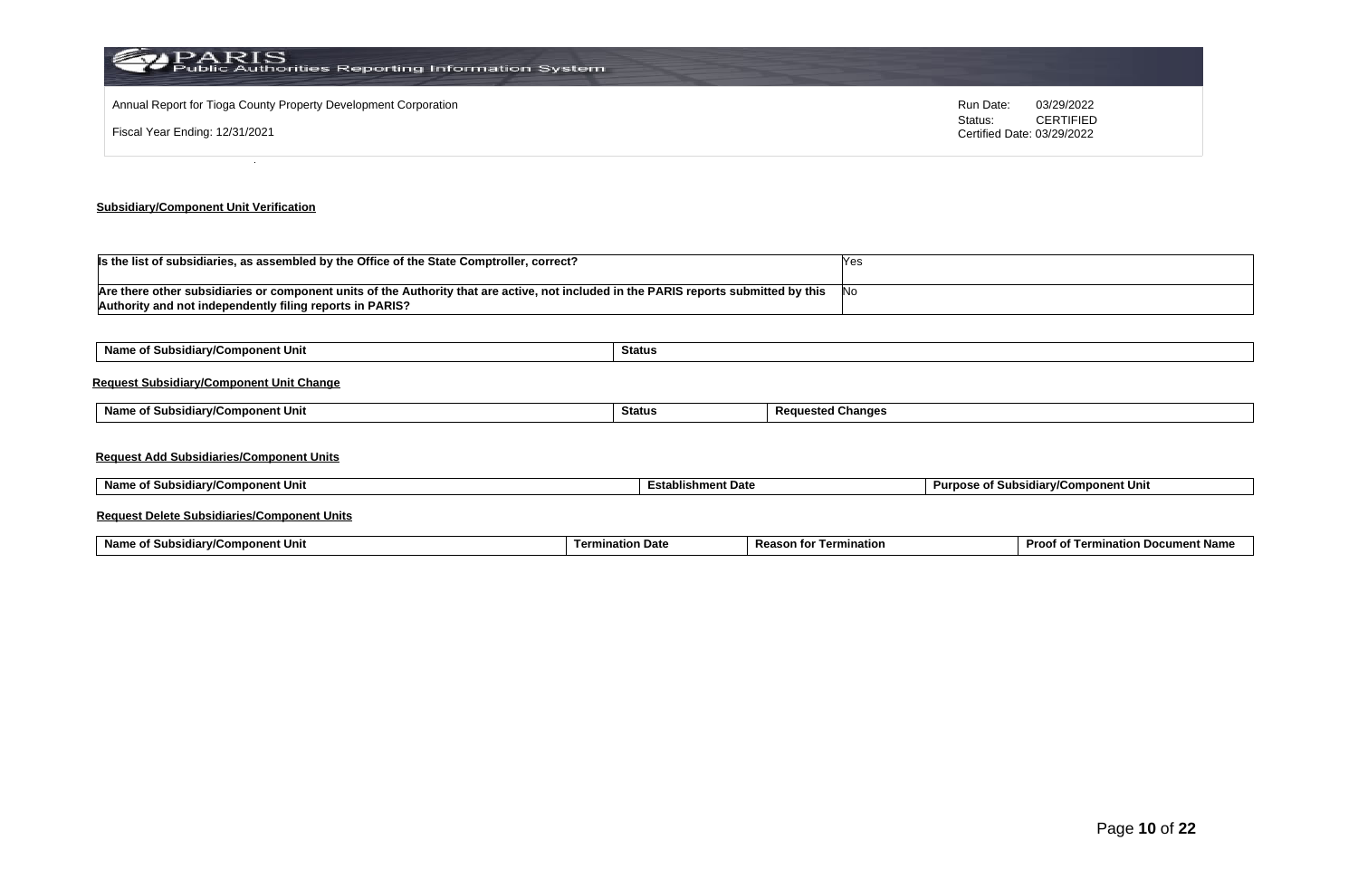| PARIS<br>Public Authorities Reporting Information System        |                                                           |
|-----------------------------------------------------------------|-----------------------------------------------------------|
| Annual Report for Tioga County Property Development Corporation | Run Date:<br>03/29/2022                                   |
| Fiscal Year Ending: 12/31/2021                                  | <b>CERTIFIED</b><br>Status:<br>Certified Date: 03/29/2022 |
|                                                                 |                                                           |

# **Subsidiary/Component Unit Verification**

| Is the list of subsidiaries, as assembled by the Office of the State Comptroller, correct?                                            | TY es |
|---------------------------------------------------------------------------------------------------------------------------------------|-------|
|                                                                                                                                       |       |
| Are there other subsidiaries or component units of the Authority that are active, not included in the PARIS reports submitted by this | INC   |
| Authority and not independently filing reports in PARIS?                                                                              |       |

| Name of Subsidiary/Component Unit               | Status        |                          |
|-------------------------------------------------|---------------|--------------------------|
| <b>Request Subsidiary/Component Unit Change</b> |               |                          |
| Name of Subsidiary/Component Unit               | <b>Status</b> | <b>Requested Changes</b> |
| <b>Request Add Subsidiaries/Component Units</b> |               |                          |

| <b>Name</b><br>f Subsidiary/Component Unit<br>$-1$ | shment Date<br>Establis | <b>liarv/Component Unit</b><br>ose ot<br>' Subsidiar' |
|----------------------------------------------------|-------------------------|-------------------------------------------------------|
|                                                    |                         |                                                       |

## **Request Delete Subsidiaries/Component Units**

| Name o<br>omponent Unit<br>. .<br><b>∍idiar</b> w‴<br><b>SUDSK</b> | tion Date<br>Termi | Reaso<br>mination<br>τοι | Proc.<br>. Docur<br>າent Name<br>natioi.<br>$\overline{a}$<br>ന |
|--------------------------------------------------------------------|--------------------|--------------------------|-----------------------------------------------------------------|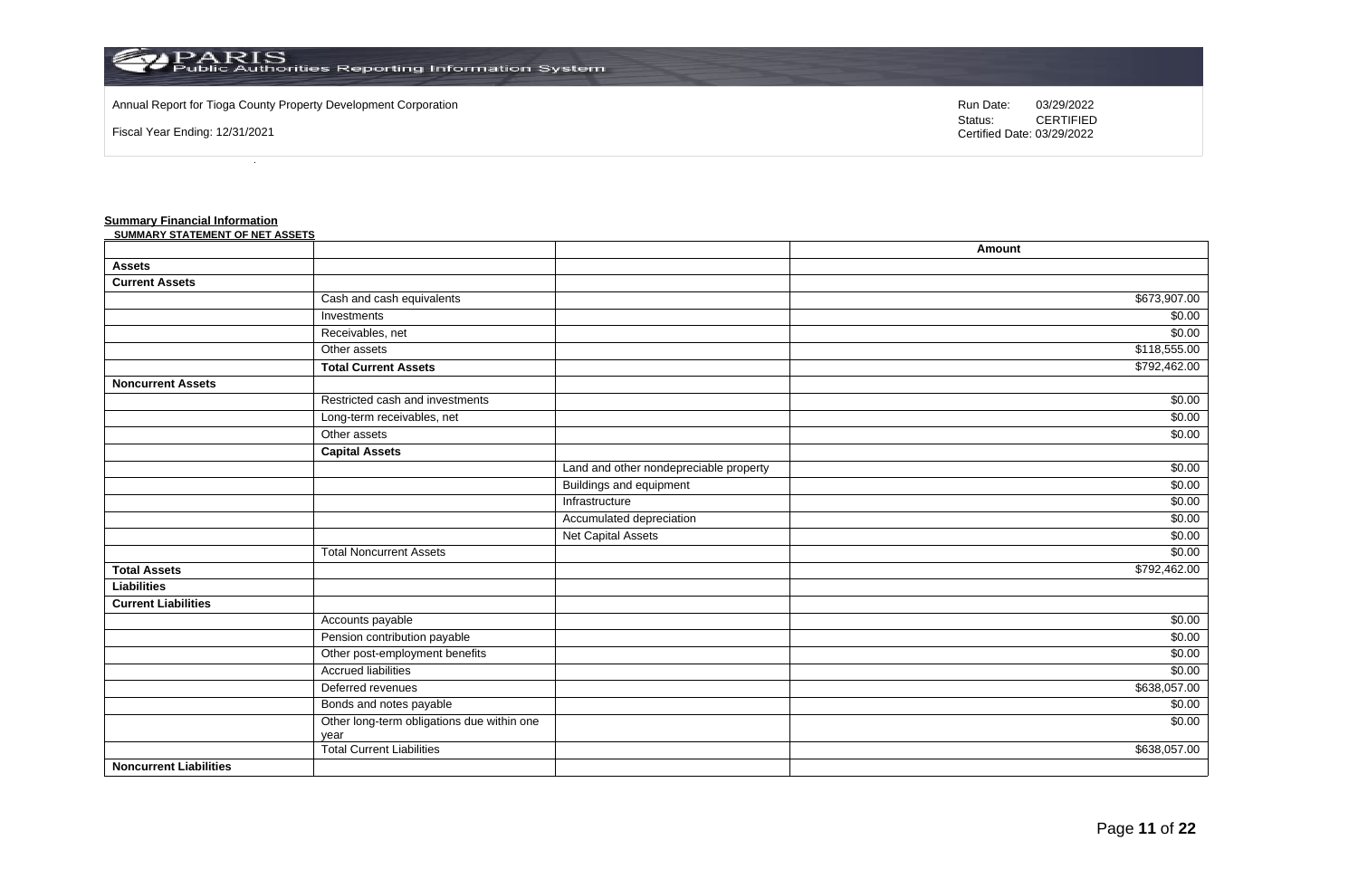

Annual Report for Tioga County Property Development Corporation **Run Date:** 03/29/2022 **Run Date:** 03/29/2022

Fiscal Year Ending: 12/31/2021

Status: **CERTIFIED** Certified Date: 03/29/2022

#### **Summary Financial Information**

| SUMMARY STATEMENT OF NET ASSETS |                                                    |                                        |                |
|---------------------------------|----------------------------------------------------|----------------------------------------|----------------|
|                                 |                                                    |                                        | Amount         |
| <b>Assets</b>                   |                                                    |                                        |                |
| <b>Current Assets</b>           |                                                    |                                        |                |
|                                 | Cash and cash equivalents                          |                                        | \$673,907.00   |
|                                 | Investments                                        |                                        | $\sqrt{$0.00}$ |
|                                 | Receivables, net                                   |                                        | \$0.00         |
|                                 | Other assets                                       |                                        | \$118,555.00   |
|                                 | <b>Total Current Assets</b>                        |                                        | \$792,462.00   |
| <b>Noncurrent Assets</b>        |                                                    |                                        |                |
|                                 | Restricted cash and investments                    |                                        | \$0.00         |
|                                 | Long-term receivables, net                         |                                        | \$0.00         |
|                                 | Other assets                                       |                                        | \$0.00         |
|                                 | <b>Capital Assets</b>                              |                                        |                |
|                                 |                                                    | Land and other nondepreciable property | \$0.00         |
|                                 |                                                    | <b>Buildings and equipment</b>         | \$0.00         |
|                                 |                                                    | Infrastructure                         | \$0.00         |
|                                 |                                                    | Accumulated depreciation               | \$0.00         |
|                                 |                                                    | Net Capital Assets                     | \$0.00         |
|                                 | <b>Total Noncurrent Assets</b>                     |                                        | \$0.00         |
| <b>Total Assets</b>             |                                                    |                                        | \$792,462.00   |
| <b>Liabilities</b>              |                                                    |                                        |                |
| <b>Current Liabilities</b>      |                                                    |                                        |                |
|                                 | Accounts payable                                   |                                        | \$0.00         |
|                                 | Pension contribution payable                       |                                        | \$0.00         |
|                                 | Other post-employment benefits                     |                                        | \$0.00         |
|                                 | <b>Accrued liabilities</b>                         |                                        | \$0.00         |
|                                 | Deferred revenues                                  |                                        | \$638,057.00   |
|                                 | Bonds and notes payable                            |                                        | \$0.00         |
|                                 | Other long-term obligations due within one<br>vear |                                        | \$0.00         |
|                                 | Total Current Liabilities                          |                                        | \$638,057.00   |
| <b>Noncurrent Liabilities</b>   |                                                    |                                        |                |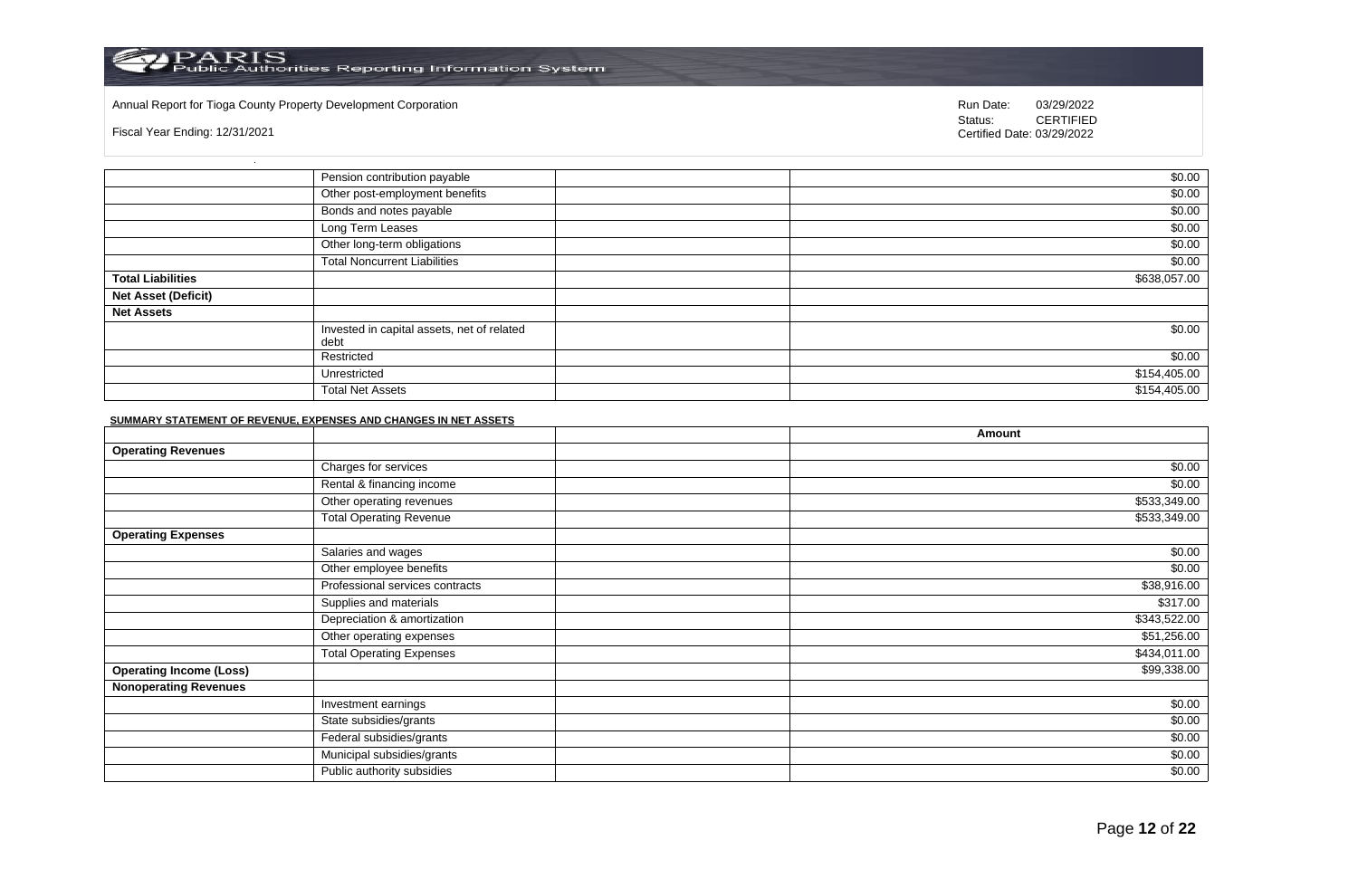#### Annual Report for Tioga County Property Development Corporation **Run Date:** 03/29/2022 **Run Date:** 03/29/2022

Fiscal Year Ending: 12/31/2021

Status: **CERTIFIED** Certified Date: 03/29/2022

|                            | Pension contribution payable                       | \$0.00       |
|----------------------------|----------------------------------------------------|--------------|
|                            | Other post-employment benefits                     | \$0.00       |
|                            | Bonds and notes payable                            | \$0.00       |
|                            | Long Term Leases                                   | \$0.00       |
|                            | Other long-term obligations                        | \$0.00       |
|                            | <b>Total Noncurrent Liabilities</b>                | \$0.00       |
| <b>Total Liabilities</b>   |                                                    | \$638,057.00 |
| <b>Net Asset (Deficit)</b> |                                                    |              |
| <b>Net Assets</b>          |                                                    |              |
|                            | Invested in capital assets, net of related<br>debt | \$0.00       |
|                            | Restricted                                         | \$0.00       |
|                            | Unrestricted                                       | \$154,405.00 |
|                            | <b>Total Net Assets</b>                            | \$154,405.00 |

#### **SUMMARY STATEMENT OF REVENUE, EXPENSES AND CHANGES IN NET ASSETS**

|                                |                                 | Amount       |
|--------------------------------|---------------------------------|--------------|
| <b>Operating Revenues</b>      |                                 |              |
|                                | Charges for services            | \$0.00       |
|                                | Rental & financing income       | \$0.00       |
|                                | Other operating revenues        | \$533,349.00 |
|                                | <b>Total Operating Revenue</b>  | \$533,349.00 |
| <b>Operating Expenses</b>      |                                 |              |
|                                | Salaries and wages              | \$0.00       |
|                                | Other employee benefits         | \$0.00       |
|                                | Professional services contracts | \$38,916.00  |
|                                | Supplies and materials          | \$317.00     |
|                                | Depreciation & amortization     | \$343,522.00 |
|                                | Other operating expenses        | \$51,256.00  |
|                                | <b>Total Operating Expenses</b> | \$434,011.00 |
| <b>Operating Income (Loss)</b> |                                 | \$99,338.00  |
| <b>Nonoperating Revenues</b>   |                                 |              |
|                                | Investment earnings             | \$0.00       |
|                                | State subsidies/grants          | \$0.00       |
|                                | Federal subsidies/grants        | \$0.00       |
|                                | Municipal subsidies/grants      | \$0.00       |
|                                | Public authority subsidies      | \$0.00       |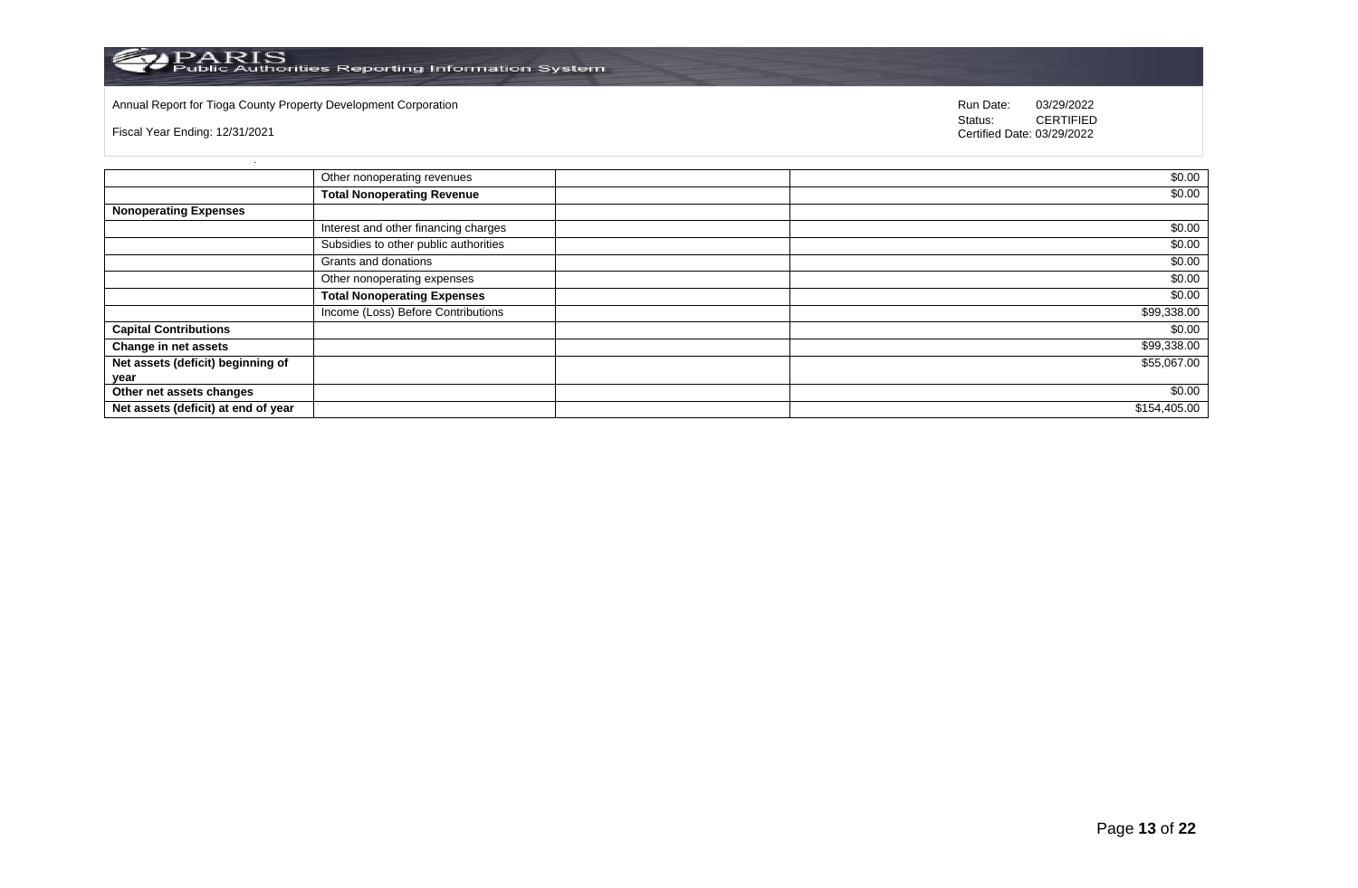

Annual Report for Tioga County Property Development Corporation **Run Date:** 03/29/2022 Run Date: 03/29/2022

Fiscal Year Ending: 12/31/2021

Status: **CERTIFIED** Certified Date: 03/29/2022

|                                     | Other nonoperating revenues           | \$0.00       |
|-------------------------------------|---------------------------------------|--------------|
|                                     | <b>Total Nonoperating Revenue</b>     | \$0.00       |
| <b>Nonoperating Expenses</b>        |                                       |              |
|                                     | Interest and other financing charges  | \$0.00       |
|                                     | Subsidies to other public authorities | \$0.00       |
|                                     | Grants and donations                  | \$0.00       |
|                                     | Other nonoperating expenses           | \$0.00       |
|                                     | <b>Total Nonoperating Expenses</b>    | \$0.00       |
|                                     | Income (Loss) Before Contributions    | \$99,338.00  |
| <b>Capital Contributions</b>        |                                       | \$0.00       |
| Change in net assets                |                                       | \$99,338.00  |
| Net assets (deficit) beginning of   |                                       | \$55,067.00  |
| year                                |                                       |              |
| Other net assets changes            |                                       | \$0.00       |
| Net assets (deficit) at end of year |                                       | \$154,405.00 |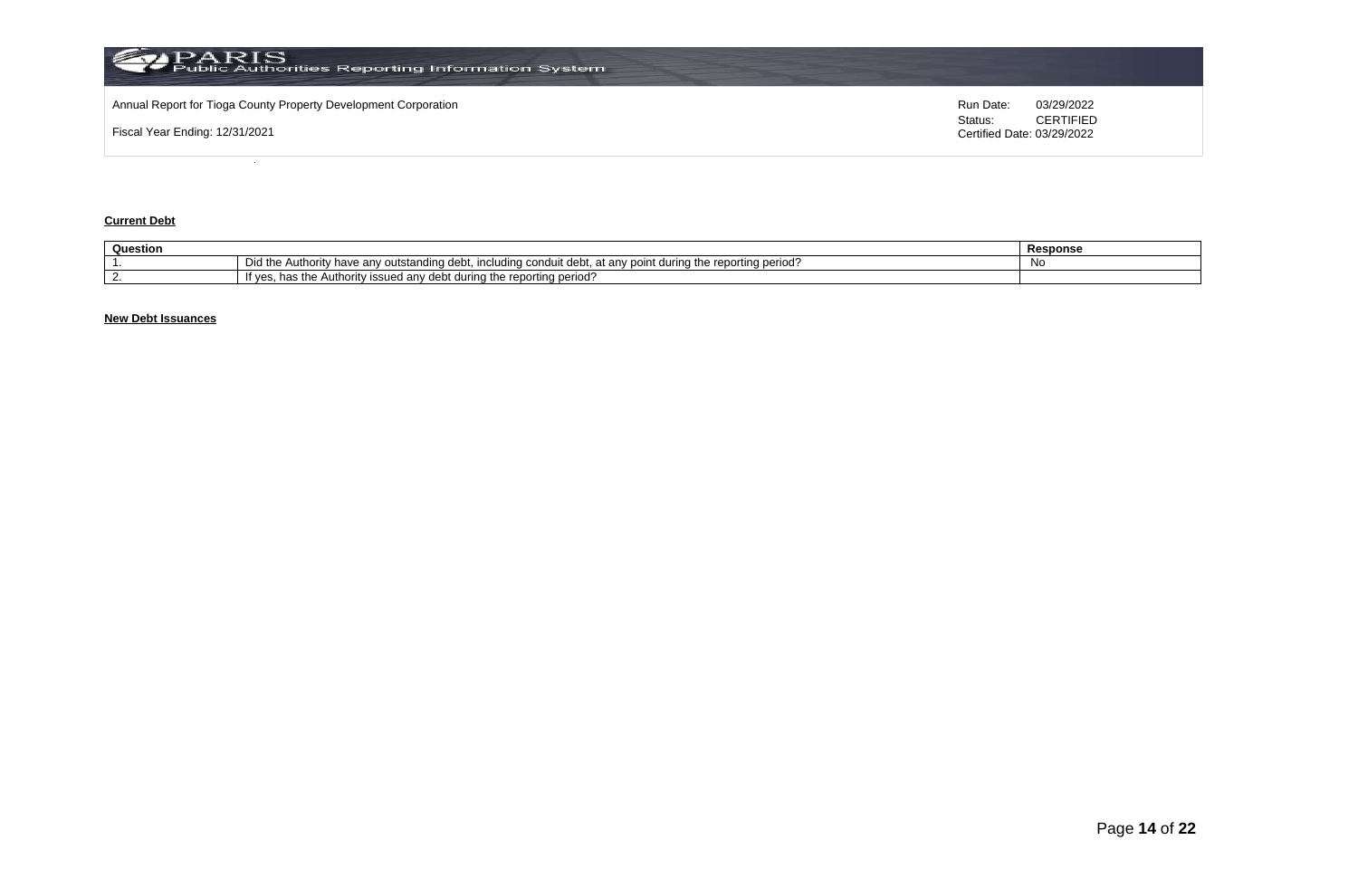

#### **Current Debt**

| Question |                                                                                                                                                                | Response |
|----------|----------------------------------------------------------------------------------------------------------------------------------------------------------------|----------|
|          | Did the<br>Authority<br>i the reporting period'<br>durina tr<br>v have anv outstanding debt. i<br>.<br>any point<br><b>Including</b><br>condu<br>anv<br>. uebr | Νo       |
|          | : reportina period و<br><sup>.</sup> durina the<br>issued anv debt<br>Auth<br>ority<br>"t ves.<br>наэ ше                                                       |          |

## **New Debt Issuances**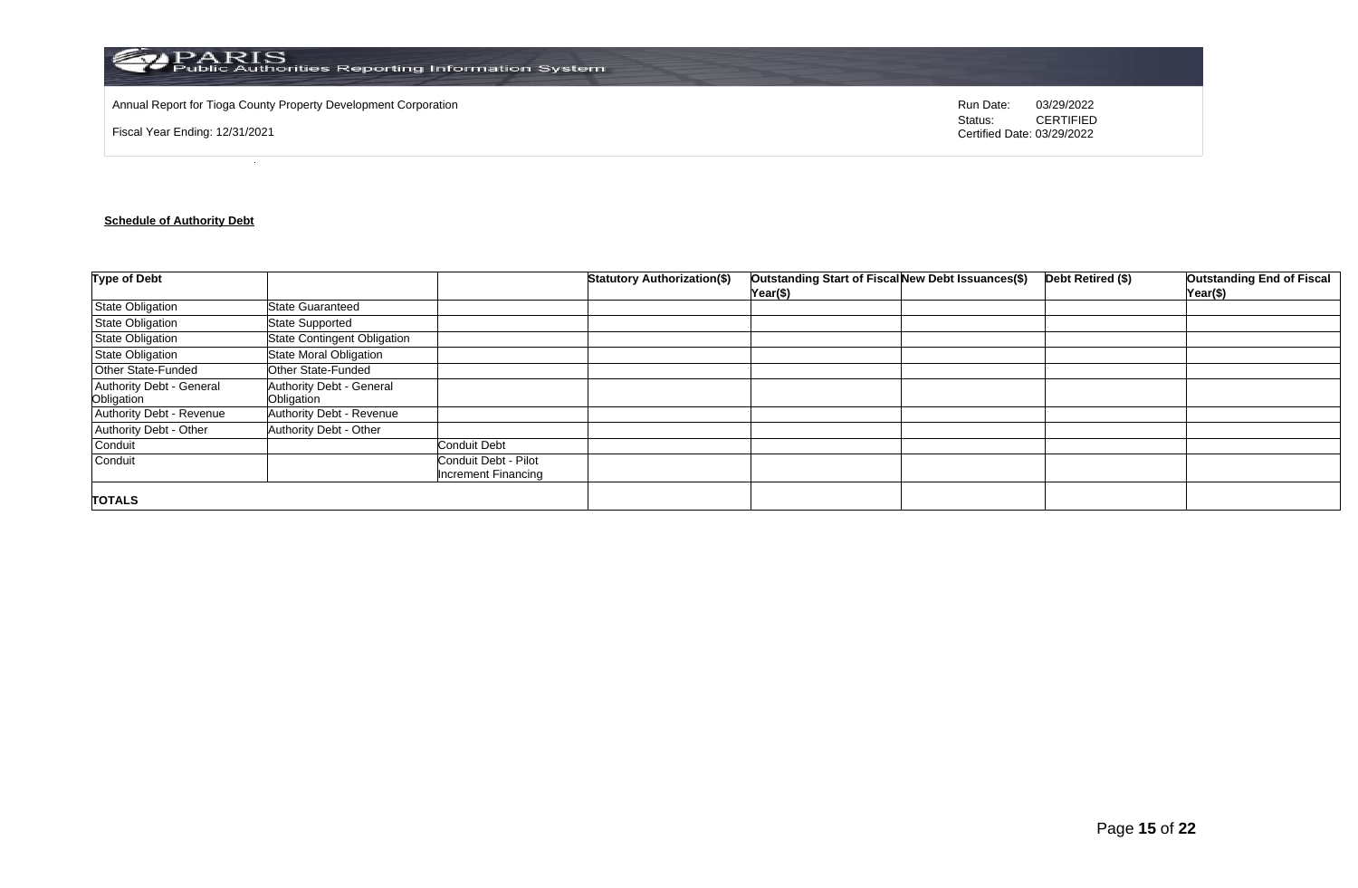

Annual Report for Tioga County Property Development Corporation **Run Date:** 03/29/2022

Fiscal Year Ending: 12/31/2021

Status: **CERTIFIED** Certified Date: 03/29/2022

## **Schedule of Authority Debt**

| <b>Type of Debt</b>                    |                                        |                                             | <b>Statutory Authorization(\$)</b> | Outstanding Start of Fiscal New Debt Issuances(\$)<br>Year(\$) | Debt Retired (\$) | <b>Outstanding End of Fiscal</b><br>Year(\$) |
|----------------------------------------|----------------------------------------|---------------------------------------------|------------------------------------|----------------------------------------------------------------|-------------------|----------------------------------------------|
| <b>State Obligation</b>                | <b>State Guaranteed</b>                |                                             |                                    |                                                                |                   |                                              |
| <b>State Obligation</b>                | <b>State Supported</b>                 |                                             |                                    |                                                                |                   |                                              |
| State Obligation                       | <b>State Contingent Obligation</b>     |                                             |                                    |                                                                |                   |                                              |
| State Obligation                       | <b>State Moral Obligation</b>          |                                             |                                    |                                                                |                   |                                              |
| Other State-Funded                     | Other State-Funded                     |                                             |                                    |                                                                |                   |                                              |
| Authority Debt - General<br>Obligation | Authority Debt - General<br>Obligation |                                             |                                    |                                                                |                   |                                              |
| Authority Debt - Revenue               | Authority Debt - Revenue               |                                             |                                    |                                                                |                   |                                              |
| Authority Debt - Other                 | Authority Debt - Other                 |                                             |                                    |                                                                |                   |                                              |
| Conduit                                |                                        | <b>Conduit Debt</b>                         |                                    |                                                                |                   |                                              |
| Conduit                                |                                        | Conduit Debt - Pilot<br>Increment Financing |                                    |                                                                |                   |                                              |
| <b>TOTALS</b>                          |                                        |                                             |                                    |                                                                |                   |                                              |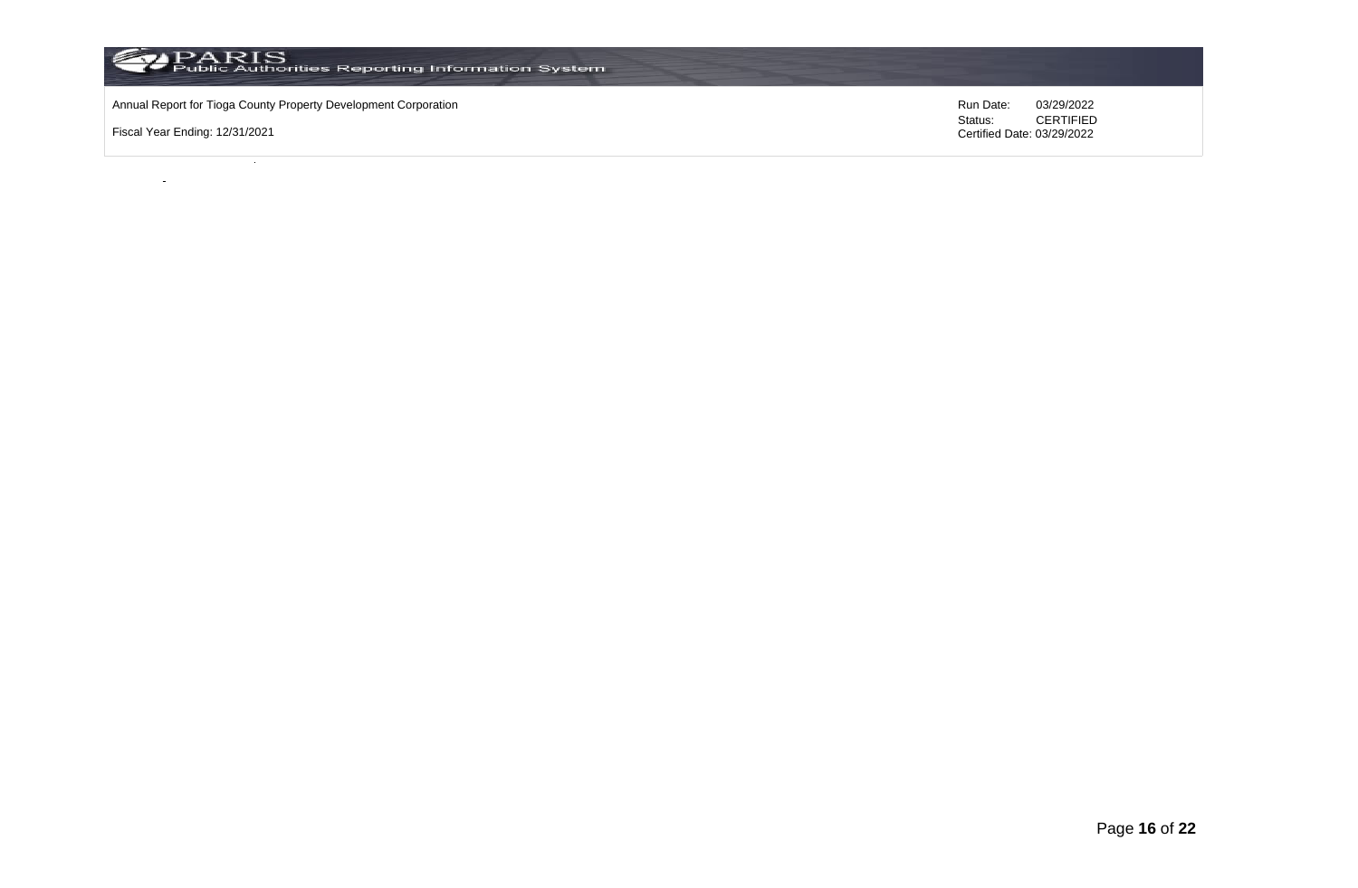

Annual Report for Tioga County Property Development Corporation **Run Date:** 03/29/2022<br>Status: CERTIFIED

Fiscal Year Ending: 12/31/2021

 $\sim$ 

CERTIFIED Certified Date: 03/29/2022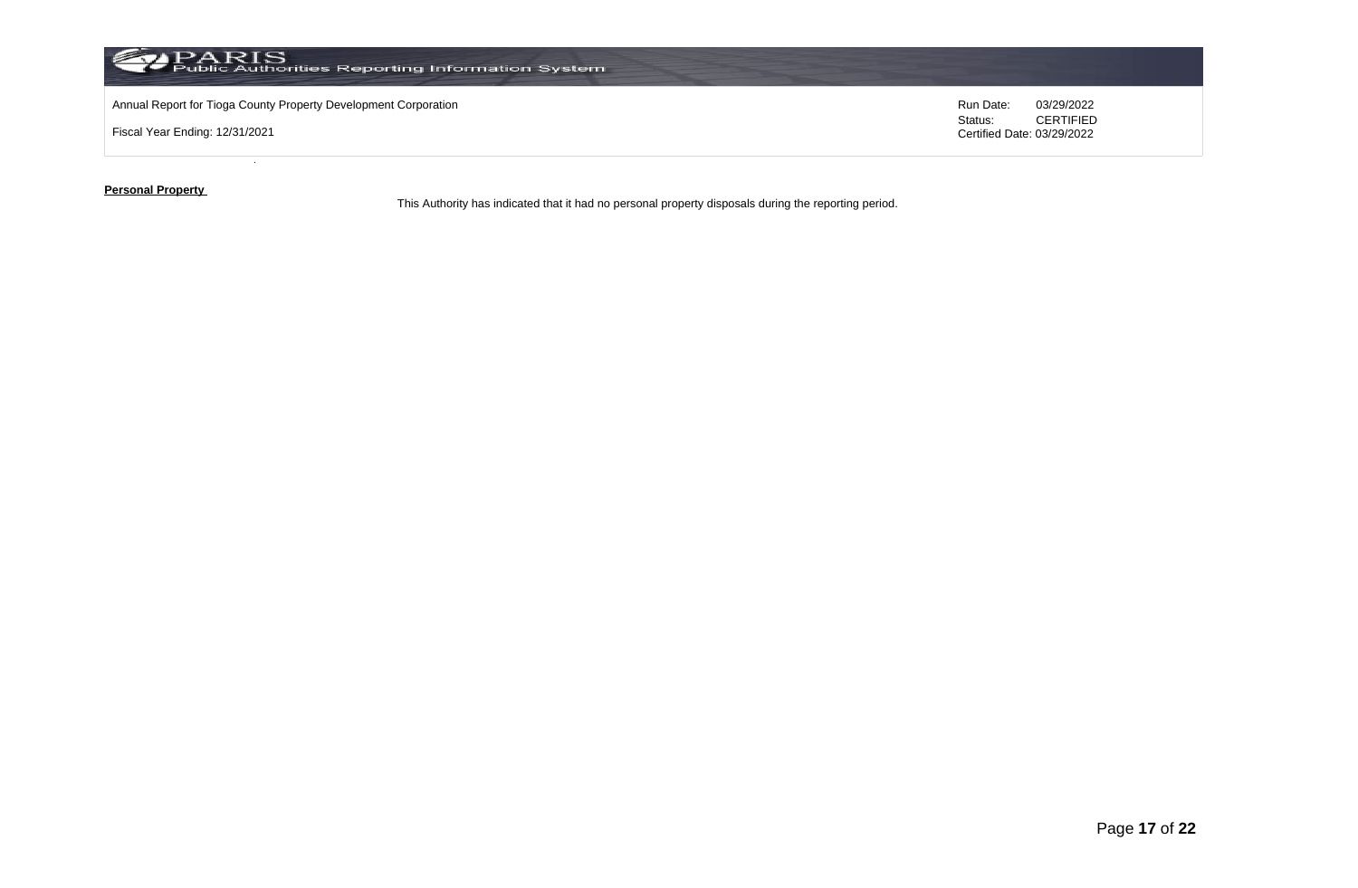

**Personal Property** 

This Authority has indicated that it had no personal property disposals during the reporting period.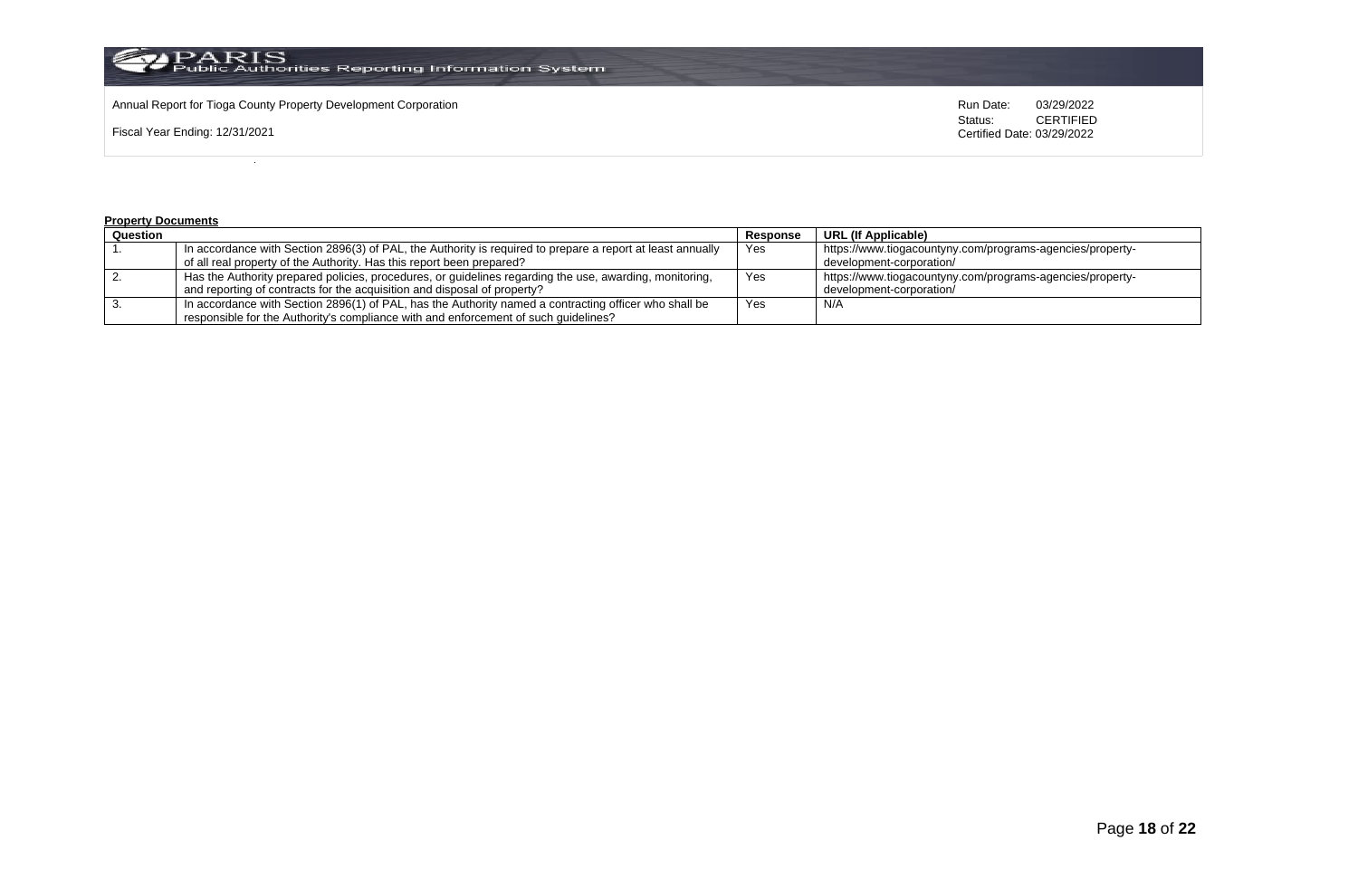

Annual Report for Tioga County Property Development Corporation **Company Control Construction** Run Date: 03/29/2022<br>
Status: CERTIFIED

Fiscal Year Ending: 12/31/2021

CERTIFIED Certified Date: 03/29/2022

#### **Property Documents**

| Question |                                                                                                            | Response | URL (If Applicable)                                       |
|----------|------------------------------------------------------------------------------------------------------------|----------|-----------------------------------------------------------|
|          | In accordance with Section 2896(3) of PAL, the Authority is required to prepare a report at least annually | Yes      | https://www.tiogacountyny.com/programs-agencies/property- |
|          | of all real property of the Authority. Has this report been prepared?                                      |          | development-corporation/                                  |
|          | Has the Authority prepared policies, procedures, or guidelines regarding the use, awarding, monitoring,    | Yes      | https://www.tiogacountyny.com/programs-agencies/property- |
|          | and reporting of contracts for the acquisition and disposal of property?                                   |          | development-corporation/                                  |
|          | In accordance with Section 2896(1) of PAL, has the Authority named a contracting officer who shall be      | Yes      | N/A                                                       |
|          | responsible for the Authority's compliance with and enforcement of such quidelines?                        |          |                                                           |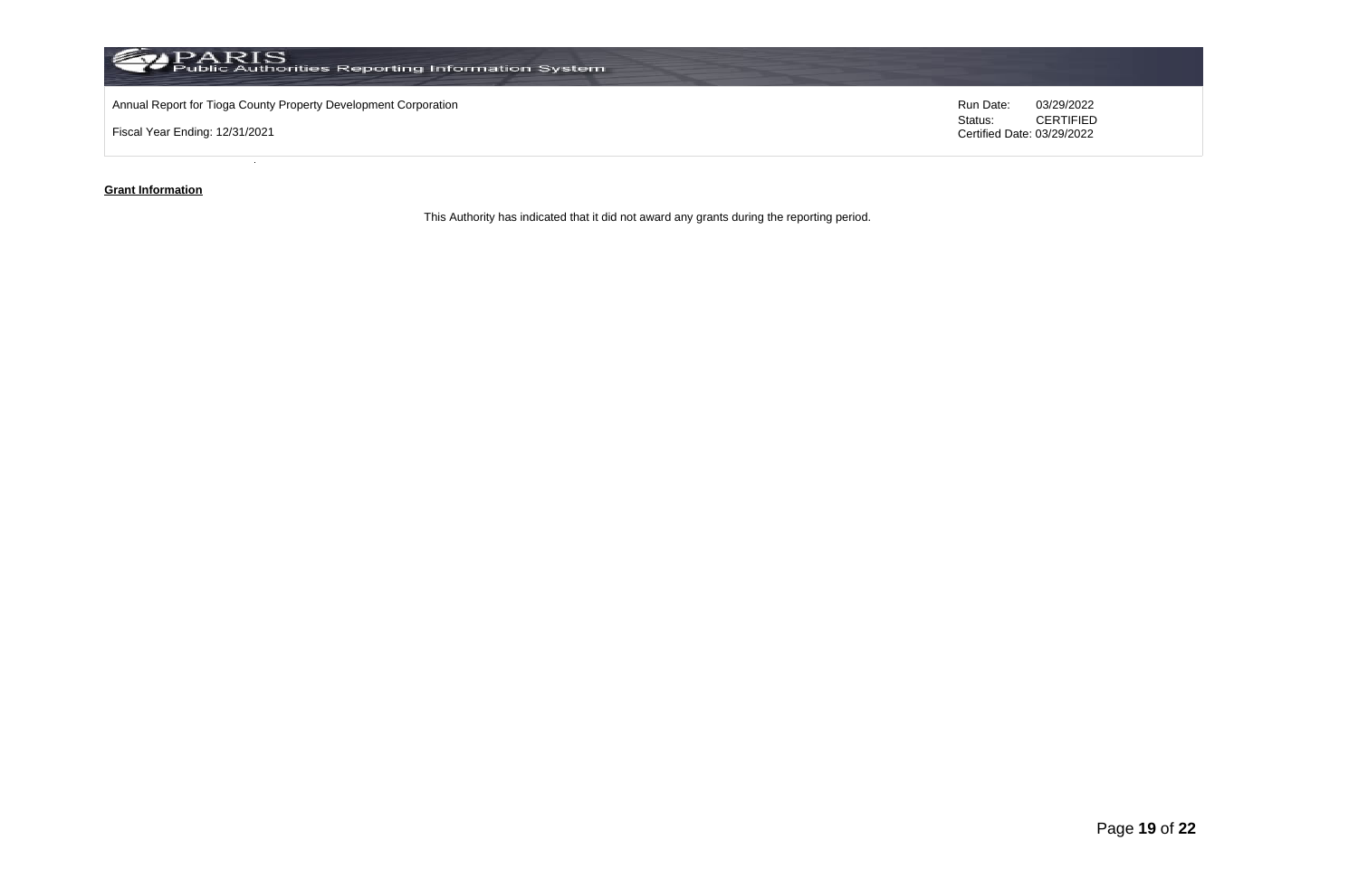

#### **Grant Information**

This Authority has indicated that it did not award any grants during the reporting period.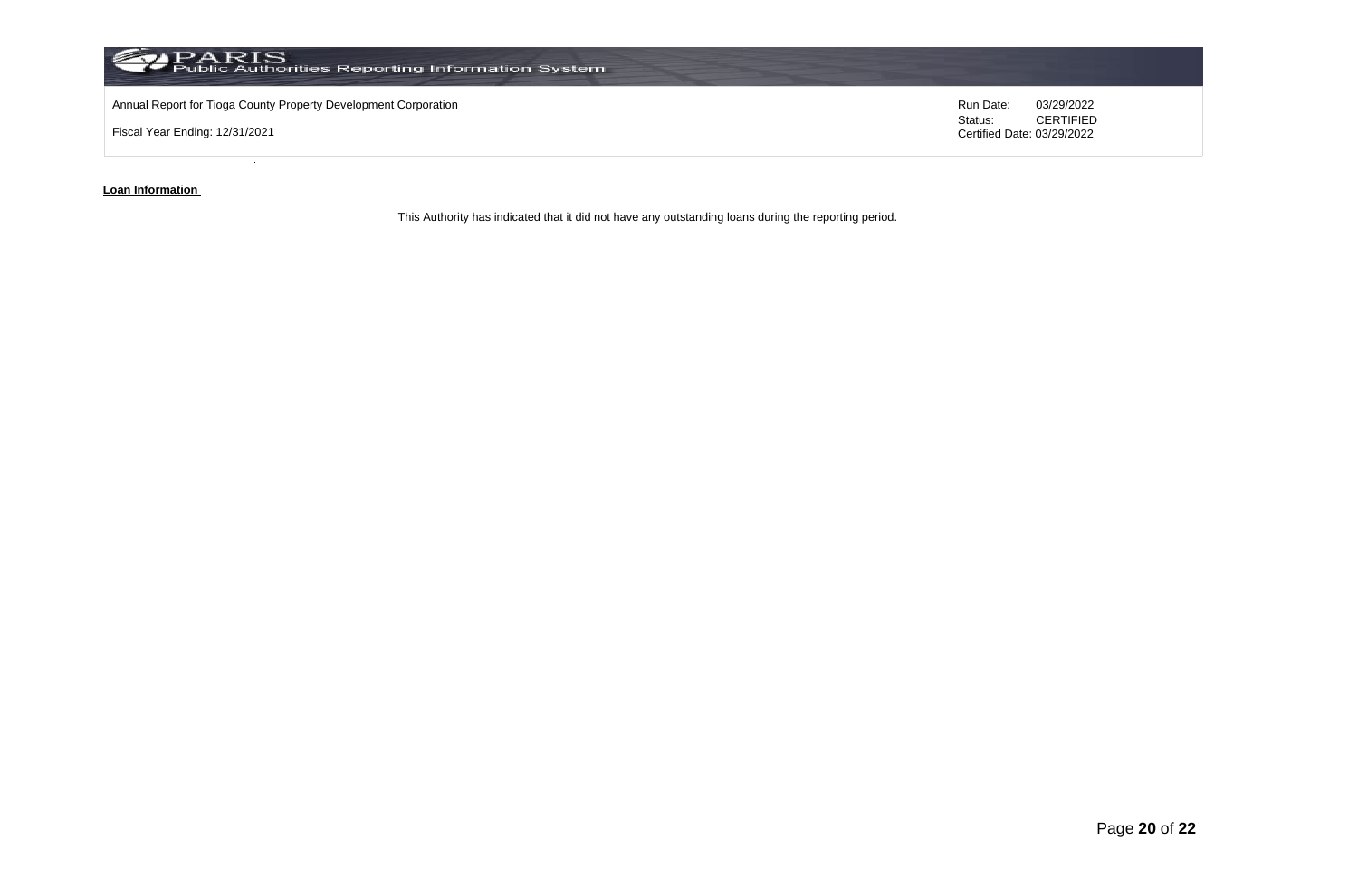

**Loan Information** 

This Authority has indicated that it did not have any outstanding loans during the reporting period.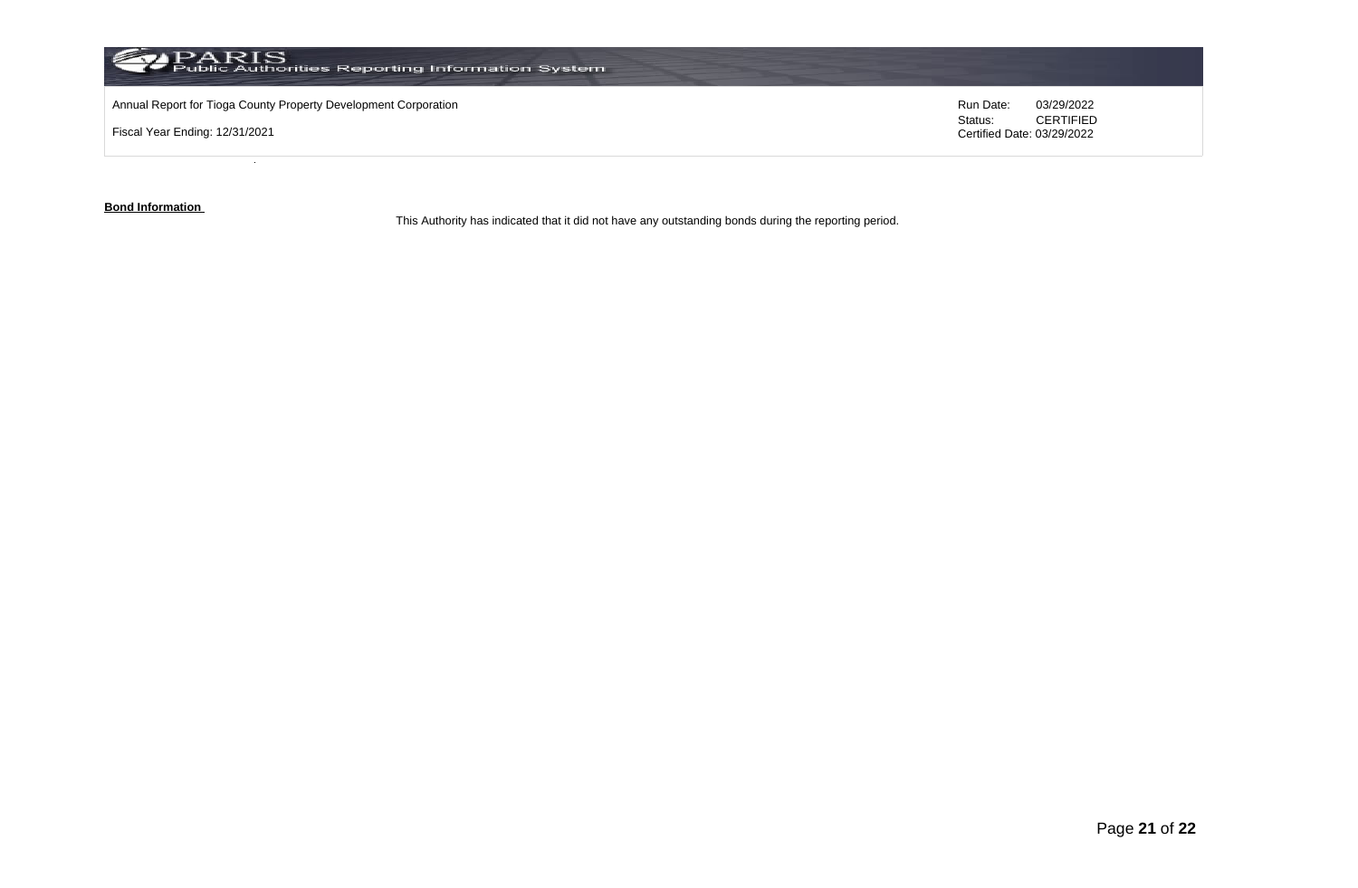

**Bond Information** 

This Authority has indicated that it did not have any outstanding bonds during the reporting period.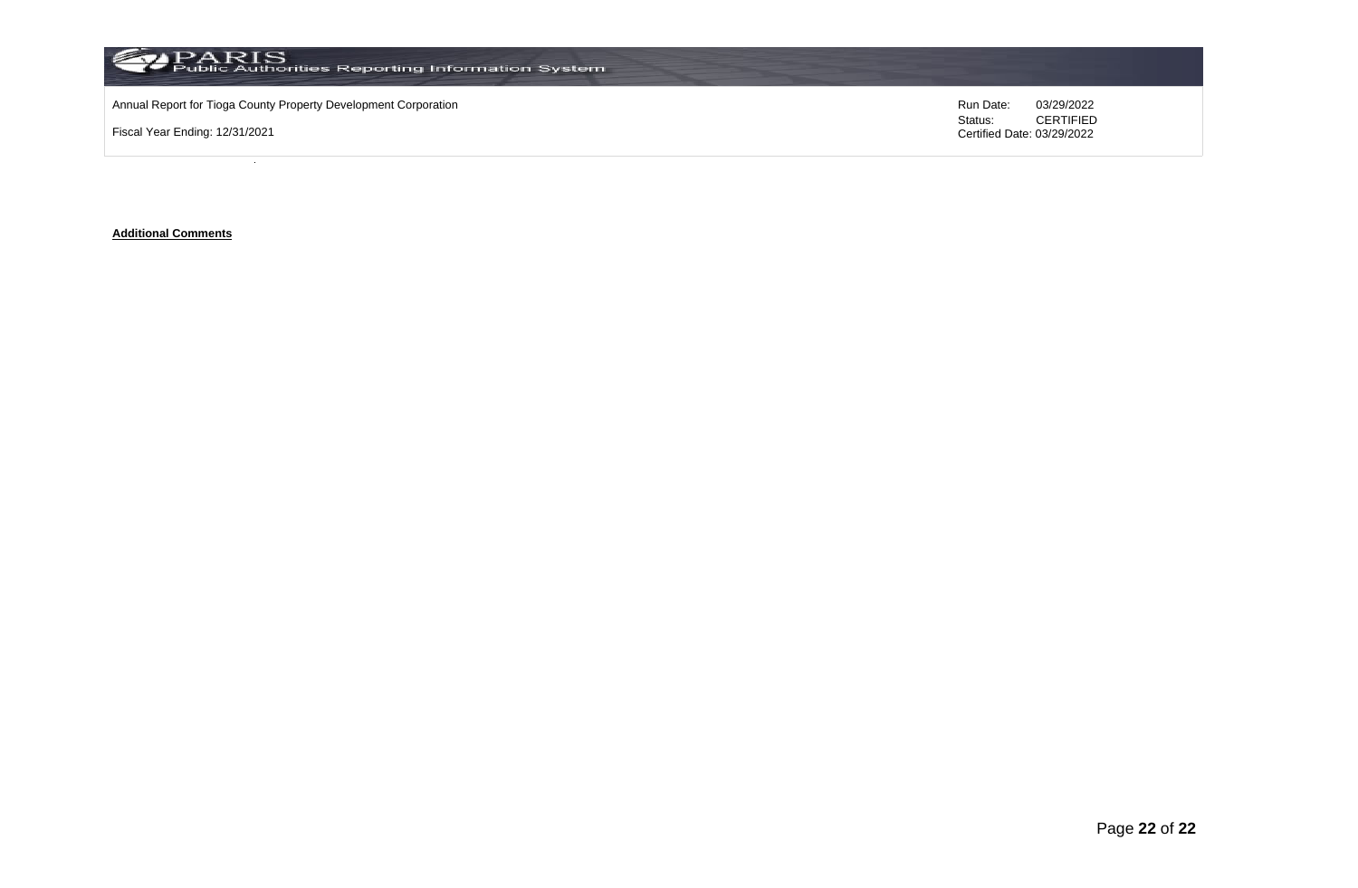

Fiscal Year Ending: 12/31/2021

Status: **CERTIFIED** Certified Date: 03/29/2022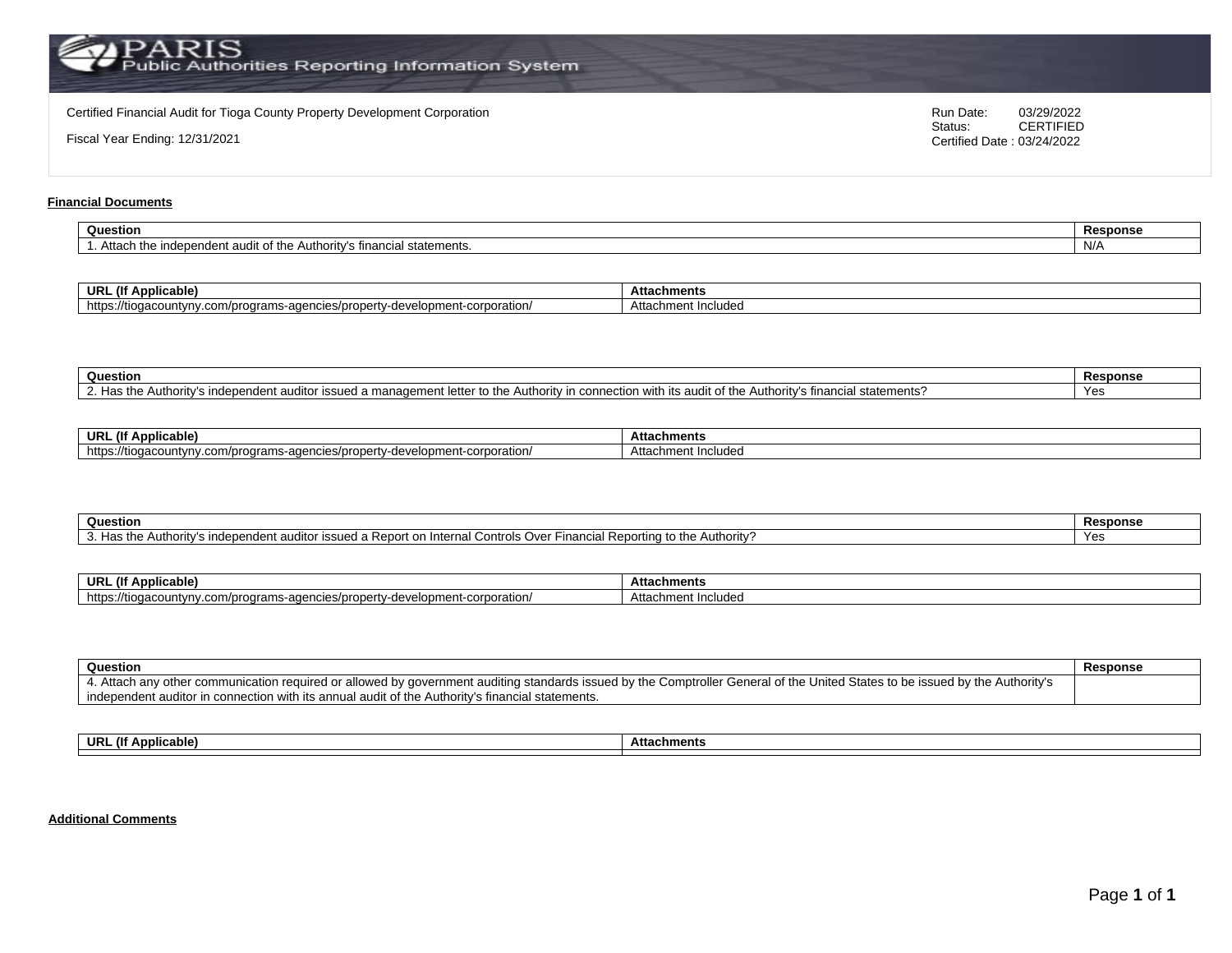# Certified Financial Audit for Tioga County Property Development Corporation **Company** Content Company Constants COM<br>CERTIFIED CERTIFIED

Fiscal Year Ending: 12/31/2021

CERTIFIED Certified Date : 03/24/2022

# **Financial Documents**

| Question                                                                                                                                                   | Response |
|------------------------------------------------------------------------------------------------------------------------------------------------------------|----------|
| .<br>Attach<br>uthor.<br>statements<br>tinancia<br>.<br>and the state<br>$-+$ then<br>th۵<br>$\sim$<br>wenem<br>ᄞ<br>$\alpha$<br>11. UI<br>. . v<br>.<br>. | N/f      |

| .<br>URI<br>(If<br>Applicable)                                                                                                                                                            | Attac<br>≎nments                    |
|-------------------------------------------------------------------------------------------------------------------------------------------------------------------------------------------|-------------------------------------|
| https<br>∩rn∩ratı∩n<br>100/nronart<br>oment-co<br>"<br>$A^{\prime\prime\prime}$<br>//tio<br>uacountvnv.com/r<br>. .<br>70 JELU JEN L<br>ualivi L<br>. <i>.</i><br><b>JI UU</b><br>-ucvciu | $-$<br>ാnt Included<br>∖ttachı<br>. |

| Question                                                                                                                                                                                                                                       | п.<br>:spons<br>ке           |
|------------------------------------------------------------------------------------------------------------------------------------------------------------------------------------------------------------------------------------------------|------------------------------|
| .<br>ıtements<br>. +<br>≅∩∩د⊶<br>. +<br>annet.<br>audito<br>Autr<br>\uthoritv<br><br>∖uthoritv<br>witi<br>ndant –<br>connec<br>s audi<br>, indeb<br>rınn<br><br>האד<br>uur<br>13311511<br>التقار<br>$-1711$<br>ישמ<br><br>71 I L V<br>.<br>. . | $\mathsf{v}_\mathsf{a}$<br>ີ |

| URL<br>$-1$<br>Applicabl <sup>r</sup>                                                                                                               | <b>Attachments</b>  |
|-----------------------------------------------------------------------------------------------------------------------------------------------------|---------------------|
| .-corporation/<br>untvny.com<br>ימומי<br>≅าencies/prope.<br>$1 - \alpha$<br>.orograms<br>$\sim$<br>mant-cc<br>™uuauc<br>… ucvciuulilciii J.<br>-aur | Attachment Included |

| <b>Question</b>                                                                                                                                                                                                             | Response |
|-----------------------------------------------------------------------------------------------------------------------------------------------------------------------------------------------------------------------------|----------|
| ∵ontrols ⊂<br>. .<br>Internal<br>Authority <sup>-</sup><br>⊵an∩i<br>·ına·<br><b>issued</b><br>porting to<br>endent auditc<br>nder<br>Authority<br>. tha<br>$\sim$<br>$\cdots$<br>Ovei<br>к.<br>luidi<br>' '' ''<br>I A NEUU | Yes      |

| URL                                                                                                                                                                           | Atta                       |
|-------------------------------------------------------------------------------------------------------------------------------------------------------------------------------|----------------------------|
| Applicable)                                                                                                                                                                   | chments                    |
| https<br>.-corporation/<br>s/prope<br>$\Delta$<br>coun.<br>∣∩nm<br>.com/pr<br>'tioga<br>٬∩∆۰<br>urams-a<br>$\cdots$<br>15 I F<br>,,,,,,,,,<br><b>ILVIIV</b><br>-ucvu<br>1 I L | Attac<br>hment<br>Included |

| Question                                                                                                                                                                                                                                                                             | Response |
|--------------------------------------------------------------------------------------------------------------------------------------------------------------------------------------------------------------------------------------------------------------------------------------|----------|
| <b>State</b><br>Comptrolle <sup>®</sup><br>Attacı.<br>√ the ∩<br>by the<br>Genera<br><b>issued</b><br>s to be issued by<br>Authoritv's<br>standards :<br>Inited<br>nmm<br>$-1.01 + 1.0$<br>aovernmen<br>r allowed b<br>`an\<br>othel<br>nication<br>∴auditino <sup>er</sup><br>uired |          |
| ' audit of the<br>I statements.<br>fitor in connection with<br>v's financial<br>≅nendent aud⊪<br>its annual<br>Authority                                                                                                                                                             |          |

| URI<br>$^{\prime\prime\prime}$<br>ADDL.<br>11 I<br>.cabir | Attachments |
|-----------------------------------------------------------|-------------|
|                                                           |             |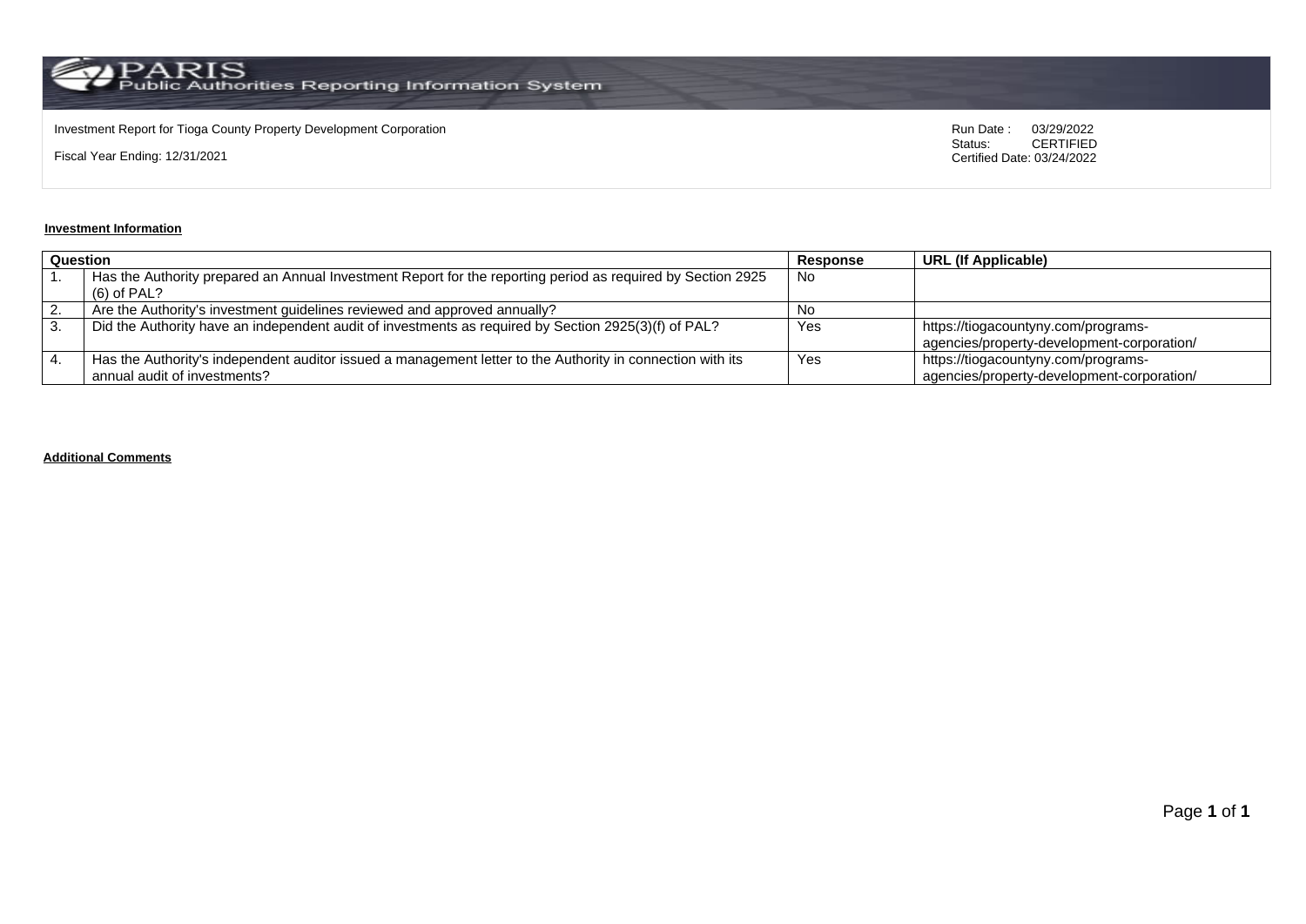Investment Report for Tioga County Property Development Corporation **Company Company** Run Date : 03/29/2022<br>Status: CERTIFIED

Fiscal Year Ending: 12/31/2021

**CERTIFIED** Certified Date: 03/24/2022

#### **Investment Information**

|    | Question                                                                                                                                   | Response | <b>URL (If Applicable)</b>                                                        |
|----|--------------------------------------------------------------------------------------------------------------------------------------------|----------|-----------------------------------------------------------------------------------|
|    | Has the Authority prepared an Annual Investment Report for the reporting period as required by Section 2925<br>$(6)$ of PAL?               | -No      |                                                                                   |
| 2. | Are the Authority's investment guidelines reviewed and approved annually?                                                                  | . No     |                                                                                   |
|    | Did the Authority have an independent audit of investments as required by Section 2925(3)(f) of PAL?                                       | Yes      | https://tiogacountyny.com/programs-<br>agencies/property-development-corporation/ |
|    | Has the Authority's independent auditor issued a management letter to the Authority in connection with its<br>annual audit of investments? | Yes      | https://tiogacountyny.com/programs-<br>agencies/property-development-corporation/ |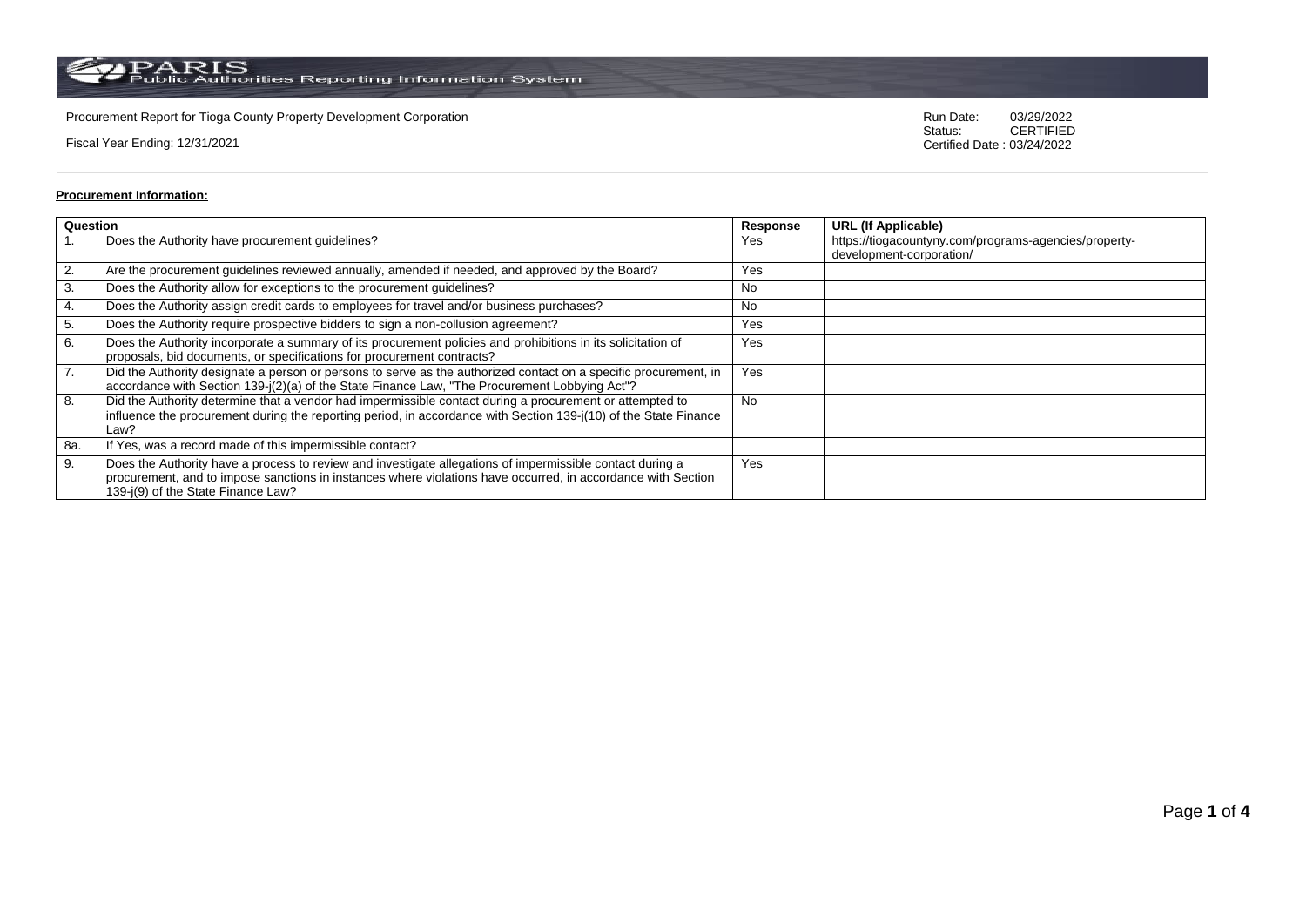Procurement Report for Tioga County Property Development Corporation **Company Control Construction** Run Date: 03/29/2022<br>Status: CERTIFIED

Fiscal Year Ending: 12/31/2021

CERTIFIED Certified Date : 03/24/2022

## **Procurement Information:**

|     | Question                                                                                                                                                                                                                                                        |           | <b>URL (If Applicable)</b>                                                        |
|-----|-----------------------------------------------------------------------------------------------------------------------------------------------------------------------------------------------------------------------------------------------------------------|-----------|-----------------------------------------------------------------------------------|
|     | Does the Authority have procurement guidelines?                                                                                                                                                                                                                 | Yes       | https://tiogacountyny.com/programs-agencies/property-<br>development-corporation/ |
| 2.  | Are the procurement guidelines reviewed annually, amended if needed, and approved by the Board?                                                                                                                                                                 | Yes       |                                                                                   |
| 3.  | Does the Authority allow for exceptions to the procurement quidelines?                                                                                                                                                                                          | No        |                                                                                   |
| 4.  | Does the Authority assign credit cards to employees for travel and/or business purchases?                                                                                                                                                                       | No        |                                                                                   |
| 5.  | Does the Authority require prospective bidders to sign a non-collusion agreement?                                                                                                                                                                               | Yes       |                                                                                   |
| 6.  | Does the Authority incorporate a summary of its procurement policies and prohibitions in its solicitation of<br>proposals, bid documents, or specifications for procurement contracts?                                                                          | Yes       |                                                                                   |
| 7.  | Did the Authority designate a person or persons to serve as the authorized contact on a specific procurement, in<br>accordance with Section 139-j(2)(a) of the State Finance Law, "The Procurement Lobbying Act"?                                               | Yes       |                                                                                   |
| 8.  | Did the Authority determine that a vendor had impermissible contact during a procurement or attempted to<br>influence the procurement during the reporting period, in accordance with Section 139-j(10) of the State Finance<br>Law?                            | <b>No</b> |                                                                                   |
| 8a. | If Yes, was a record made of this impermissible contact?                                                                                                                                                                                                        |           |                                                                                   |
| 9.  | Does the Authority have a process to review and investigate allegations of impermissible contact during a<br>procurement, and to impose sanctions in instances where violations have occurred, in accordance with Section<br>139-i(9) of the State Finance Law? | Yes       |                                                                                   |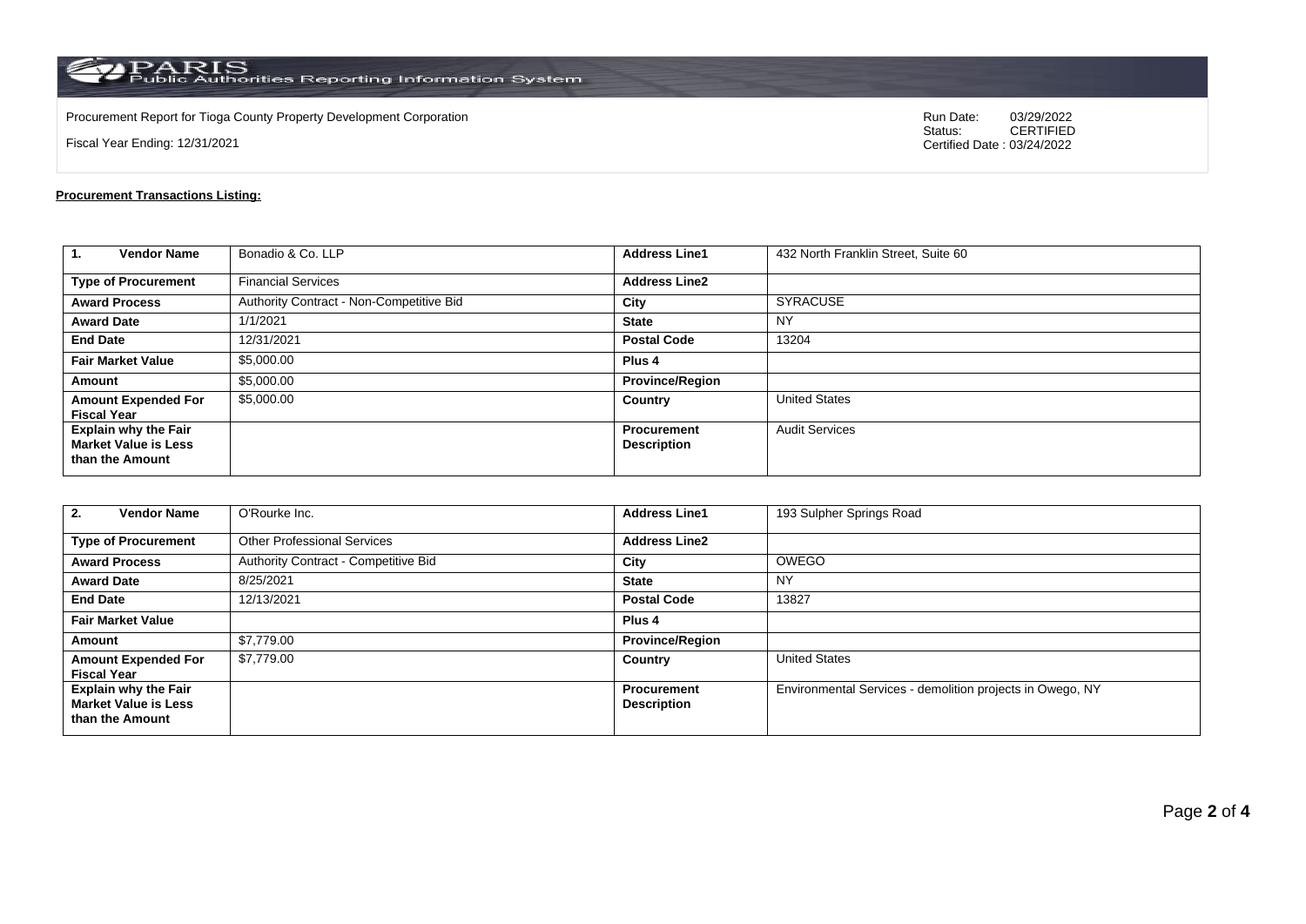Procurement Report for Tioga County Property Development Corporation **Company Control Construction** Run Date: 03/29/2022<br>Status: CERTIFIED

Fiscal Year Ending: 12/31/2021

CERTIFIED Certified Date : 03/24/2022

## **Procurement Transactions Listing:**

| $\mathbf{1}$<br><b>Vendor Name</b>                                            | Bonadio & Co. LLP                        | <b>Address Line1</b>                     | 432 North Franklin Street, Suite 60 |
|-------------------------------------------------------------------------------|------------------------------------------|------------------------------------------|-------------------------------------|
| <b>Type of Procurement</b>                                                    | <b>Financial Services</b>                | <b>Address Line2</b>                     |                                     |
| <b>Award Process</b>                                                          | Authority Contract - Non-Competitive Bid | City                                     | <b>SYRACUSE</b>                     |
| <b>Award Date</b>                                                             | 1/1/2021                                 | <b>State</b>                             | <b>NY</b>                           |
| <b>End Date</b>                                                               | 12/31/2021                               | <b>Postal Code</b>                       | 13204                               |
| <b>Fair Market Value</b>                                                      | \$5,000.00                               | Plus <sub>4</sub>                        |                                     |
| Amount                                                                        | \$5,000.00                               | <b>Province/Region</b>                   |                                     |
| <b>Amount Expended For</b><br><b>Fiscal Year</b>                              | \$5,000.00                               | Country                                  | <b>United States</b>                |
| <b>Explain why the Fair</b><br><b>Market Value is Less</b><br>than the Amount |                                          | <b>Procurement</b><br><b>Description</b> | <b>Audit Services</b>               |

| 2.<br><b>Vendor Name</b>                                                      | O'Rourke Inc.                        | <b>Address Line1</b>                     | 193 Sulpher Springs Road                                  |
|-------------------------------------------------------------------------------|--------------------------------------|------------------------------------------|-----------------------------------------------------------|
| <b>Type of Procurement</b>                                                    | <b>Other Professional Services</b>   | <b>Address Line2</b>                     |                                                           |
| <b>Award Process</b>                                                          | Authority Contract - Competitive Bid | City                                     | OWEGO                                                     |
| <b>Award Date</b>                                                             | 8/25/2021                            | <b>State</b>                             | <b>NY</b>                                                 |
| <b>End Date</b>                                                               | 12/13/2021                           | <b>Postal Code</b>                       | 13827                                                     |
| <b>Fair Market Value</b>                                                      |                                      | Plus <sub>4</sub>                        |                                                           |
| Amount                                                                        | \$7.779.00                           | <b>Province/Region</b>                   |                                                           |
| <b>Amount Expended For</b><br><b>Fiscal Year</b>                              | \$7,779.00                           | Country                                  | <b>United States</b>                                      |
| <b>Explain why the Fair</b><br><b>Market Value is Less</b><br>than the Amount |                                      | <b>Procurement</b><br><b>Description</b> | Environmental Services - demolition projects in Owego, NY |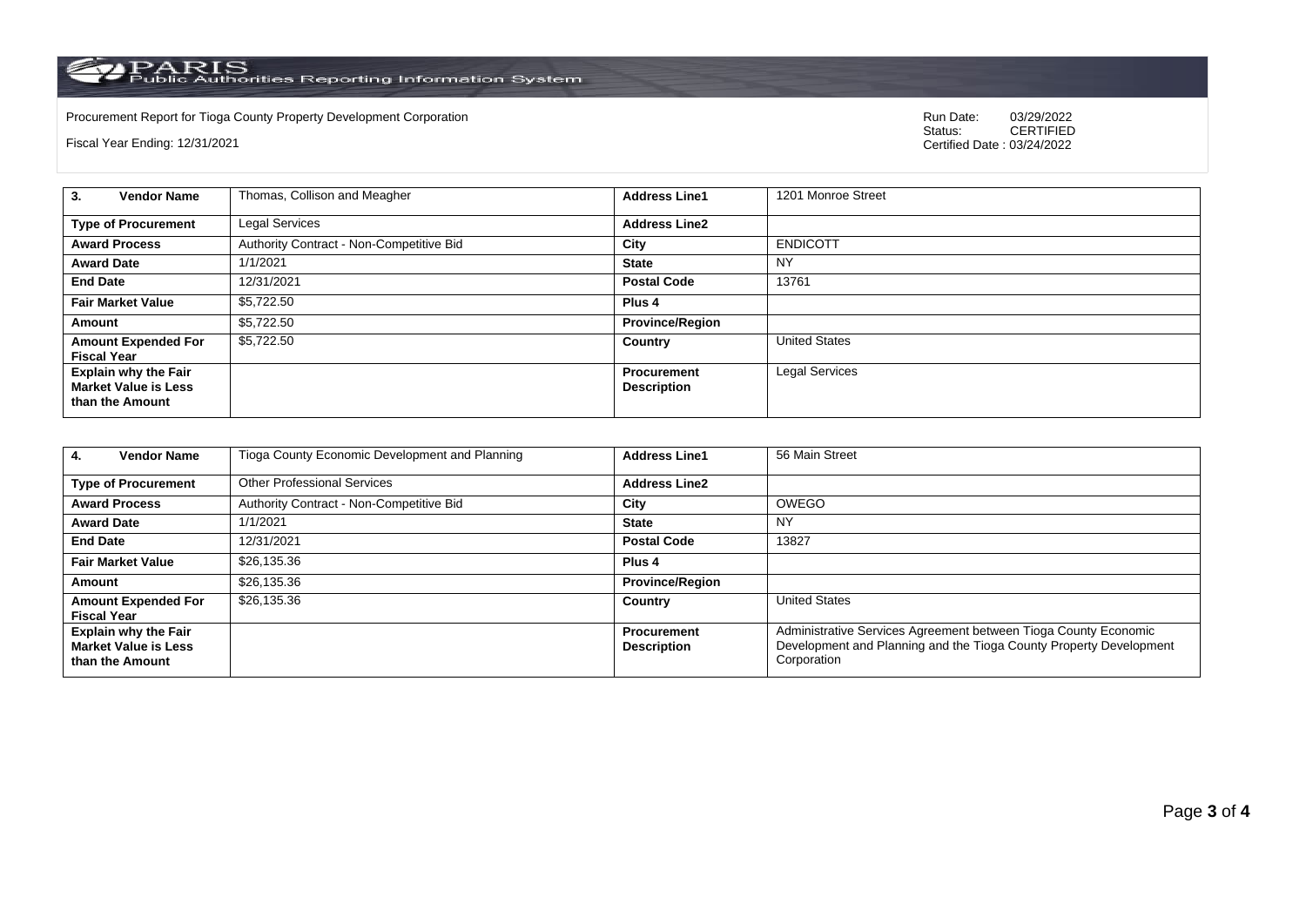Procurement Report for Tioga County Property Development Corporation **Run Date:** 03/29/2022 Run Date: 03/2022<br>
Status:

Fiscal Year Ending: 12/31/2021

03/29/2022<br>CERTIFIED Certified Date : 03/24/2022

| <b>Vendor Name</b><br>3.                                                      | Thomas, Collison and Meagher             | <b>Address Line1</b>                     | 1201 Monroe Street    |
|-------------------------------------------------------------------------------|------------------------------------------|------------------------------------------|-----------------------|
| <b>Type of Procurement</b>                                                    | Legal Services                           | <b>Address Line2</b>                     |                       |
| <b>Award Process</b>                                                          | Authority Contract - Non-Competitive Bid | City                                     | <b>ENDICOTT</b>       |
| <b>Award Date</b>                                                             | 1/1/2021                                 | <b>State</b>                             | <b>NY</b>             |
| <b>End Date</b>                                                               | 12/31/2021                               | <b>Postal Code</b>                       | 13761                 |
| <b>Fair Market Value</b>                                                      | \$5.722.50                               | Plus <sub>4</sub>                        |                       |
| Amount                                                                        | \$5,722.50                               | <b>Province/Region</b>                   |                       |
| <b>Amount Expended For</b><br><b>Fiscal Year</b>                              | \$5,722.50                               | Country                                  | <b>United States</b>  |
| <b>Explain why the Fair</b><br><b>Market Value is Less</b><br>than the Amount |                                          | <b>Procurement</b><br><b>Description</b> | <b>Legal Services</b> |

| <b>Vendor Name</b><br>4.                                                      | Tioga County Economic Development and Planning | <b>Address Line1</b>                     | 56 Main Street                                                                                                                                       |
|-------------------------------------------------------------------------------|------------------------------------------------|------------------------------------------|------------------------------------------------------------------------------------------------------------------------------------------------------|
| <b>Type of Procurement</b>                                                    | <b>Other Professional Services</b>             | <b>Address Line2</b>                     |                                                                                                                                                      |
| <b>Award Process</b>                                                          | Authority Contract - Non-Competitive Bid       | City                                     | OWEGO                                                                                                                                                |
| <b>Award Date</b>                                                             | 1/1/2021                                       | <b>State</b>                             | <b>NY</b>                                                                                                                                            |
| <b>End Date</b>                                                               | 12/31/2021                                     | <b>Postal Code</b>                       | 13827                                                                                                                                                |
| <b>Fair Market Value</b>                                                      | \$26,135.36                                    | Plus <sub>4</sub>                        |                                                                                                                                                      |
| Amount                                                                        | \$26,135.36                                    | <b>Province/Region</b>                   |                                                                                                                                                      |
| <b>Amount Expended For</b><br><b>Fiscal Year</b>                              | \$26,135.36                                    | Country                                  | <b>United States</b>                                                                                                                                 |
| <b>Explain why the Fair</b><br><b>Market Value is Less</b><br>than the Amount |                                                | <b>Procurement</b><br><b>Description</b> | Administrative Services Agreement between Tioga County Economic<br>Development and Planning and the Tioga County Property Development<br>Corporation |